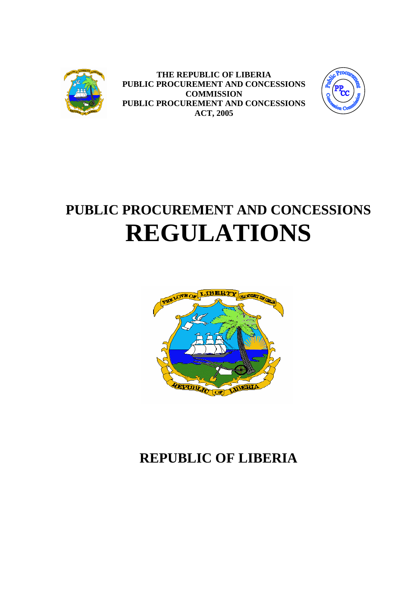

**THE REPUBLIC OF LIBERIA PUBLIC PROCUREMENT AND CONCESSIONS COMMISSION PUBLIC PROCUREMENT AND CONCESSIONS ACT, 2005**



# <span id="page-0-0"></span>**PUBLIC PROCUREMENT AND CONCESSIONS REGULATIONS**



## <span id="page-0-1"></span>**REPUBLIC OF LIBERIA**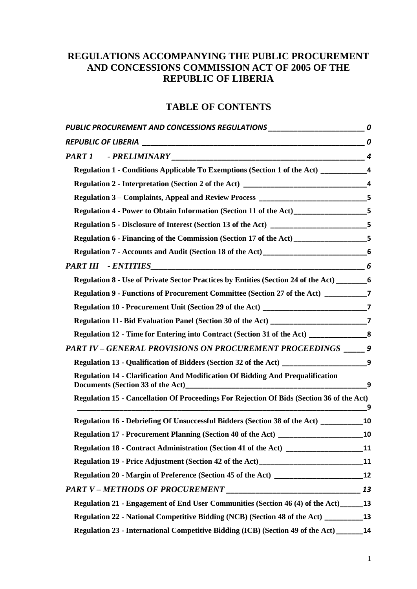## **REGULATIONS ACCOMPANYING THE PUBLIC PROCUREMENT AND CONCESSIONS COMMISSION ACT OF 2005 OF THE REPUBLIC OF LIBERIA**

## **TABLE OF CONTENTS**

| PUBLIC PROCUREMENT AND CONCESSIONS REGULATIONS _________________________________0                     |    |
|-------------------------------------------------------------------------------------------------------|----|
|                                                                                                       |    |
|                                                                                                       |    |
|                                                                                                       |    |
|                                                                                                       |    |
| Regulation 3 – Complaints, Appeal and Review Process ___________________________5                     |    |
| Regulation 4 - Power to Obtain Information (Section 11 of the Act)<br>5                               |    |
| Regulation 5 - Disclosure of Interest (Section 13 of the Act) ________________________5               |    |
| Regulation 6 - Financing of the Commission (Section 17 of the Act) ____________________5              |    |
|                                                                                                       |    |
| PART III - ENTITIES                                                                                   |    |
| Regulation 8 - Use of Private Sector Practices by Entities (Section 24 of the Act) _________________6 |    |
| Regulation 9 - Functions of Procurement Committee (Section 27 of the Act) _________7                  |    |
|                                                                                                       |    |
|                                                                                                       |    |
| Regulation 12 - Time for Entering into Contract (Section 31 of the Act) _________________8            |    |
| PART IV - GENERAL PROVISIONS ON PROCUREMENT PROCEEDINGS _____ 9                                       |    |
| Regulation 13 - Qualification of Bidders (Section 32 of the Act) __________________________9          |    |
| <b>Regulation 14 - Clarification And Modification Of Bidding And Prequalification</b>                 | 9  |
| Regulation 15 - Cancellation Of Proceedings For Rejection Of Bids (Section 36 of the Act)             | 9  |
| Regulation 16 - Debriefing Of Unsuccessful Bidders (Section 38 of the Act) _________                  | 10 |
| <b>Regulation 17 - Procurement Planning (Section 40 of the Act)</b>                                   | 10 |
| Regulation 18 - Contract Administration (Section 41 of the Act) __________________11                  |    |
| Regulation 19 - Price Adjustment (Section 42 of the Act)_________________________11                   |    |
|                                                                                                       |    |
|                                                                                                       |    |
| Regulation 21 - Engagement of End User Communities (Section 46 (4) of the Act) 13                     |    |
| Regulation 22 - National Competitive Bidding (NCB) (Section 48 of the Act) ___________ 13             |    |
| Regulation 23 - International Competitive Bidding (ICB) (Section 49 of the Act) ______ 14             |    |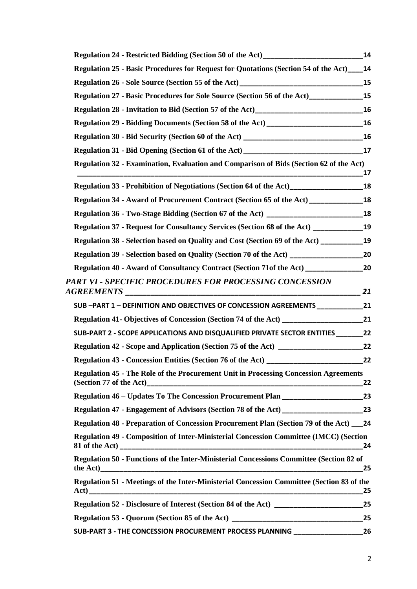| Regulation 24 - Restricted Bidding (Section 50 of the Act)______________________             | 14        |
|----------------------------------------------------------------------------------------------|-----------|
| <b>Regulation 25 - Basic Procedures for Request for Quotations (Section 54 of the Act)</b>   | 14        |
|                                                                                              | 15        |
| Regulation 27 - Basic Procedures for Sole Source (Section 56 of the Act)                     | 15        |
|                                                                                              |           |
| Regulation 29 - Bidding Documents (Section 58 of the Act) ______________________             | 16        |
|                                                                                              |           |
|                                                                                              |           |
| Regulation 32 - Examination, Evaluation and Comparison of Bids (Section 62 of the Act)       | 17        |
|                                                                                              | <b>18</b> |
| <b>Regulation 34 - Award of Procurement Contract (Section 65 of the Act)</b>                 | 18        |
| Regulation 36 - Two-Stage Bidding (Section 67 of the Act) _______________________            | 18        |
| Regulation 37 - Request for Consultancy Services (Section 68 of the Act) ________________19  |           |
| Regulation 38 - Selection based on Quality and Cost (Section 69 of the Act)                  | 19        |
|                                                                                              |           |
| Regulation 40 - Award of Consultancy Contract (Section 71of the Act)                         | 20        |
| PART VI - SPECIFIC PROCEDURES FOR PROCESSING CONCESSION                                      | 21        |
| SUB -PART 1 - DEFINITION AND OBJECTIVES OF CONCESSION AGREEMENTS _______________             | 21        |
|                                                                                              |           |
| SUB-PART 2 - SCOPE APPLICATIONS AND DISQUALIFIED PRIVATE SECTOR ENTITIES ________ 22         |           |
| <b>Regulation 42 - Scope and Application (Section 75 of the Act)</b>                         | 22        |
| <b>Regulation 43 - Concession Entities (Section 76 of the Act)</b>                           | 22        |
| <b>Regulation 45 - The Role of the Procurement Unit in Processing Concession Agreements</b>  | 22        |
|                                                                                              |           |
|                                                                                              |           |
| Regulation 48 - Preparation of Concession Procurement Plan (Section 79 of the Act) 24        |           |
| <b>Regulation 49 - Composition of Inter-Ministerial Concession Committee (IMCC) (Section</b> | 24        |
| Regulation 50 - Functions of the Inter-Ministerial Concessions Committee (Section 82 of      | 25        |
| Regulation 51 - Meetings of the Inter-Ministerial Concession Committee (Section 83 of the    | 25        |
|                                                                                              |           |
|                                                                                              | 25        |
| SUB-PART 3 - THE CONCESSION PROCUREMENT PROCESS PLANNING _______________________             | 26        |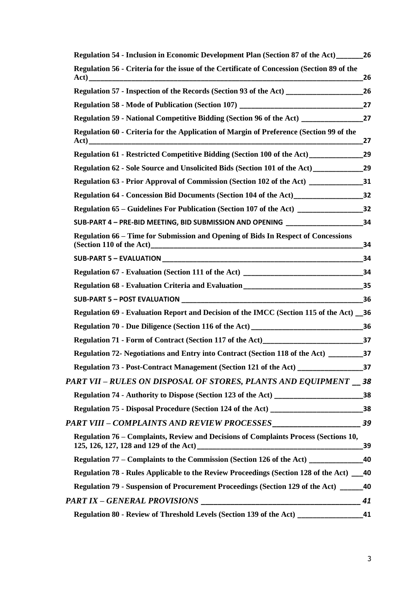| Regulation 54 - Inclusion in Economic Development Plan (Section 87 of the Act)                                | 26 |
|---------------------------------------------------------------------------------------------------------------|----|
| Regulation 56 - Criteria for the issue of the Certificate of Concession (Section 89 of the                    | 26 |
| Regulation 57 - Inspection of the Records (Section 93 of the Act) _______________                             | 26 |
|                                                                                                               |    |
|                                                                                                               |    |
| Regulation 60 - Criteria for the Application of Margin of Preference (Section 99 of the                       | 27 |
| Regulation 61 - Restricted Competitive Bidding (Section 100 of the Act)______________________29               |    |
| Regulation 62 - Sole Source and Unsolicited Bids (Section 101 of the Act) ___________________________________ |    |
|                                                                                                               |    |
|                                                                                                               |    |
|                                                                                                               |    |
| SUB-PART 4 - PRE-BID MEETING, BID SUBMISSION AND OPENING _______________________34                            |    |
| <b>Regulation 66 – Time for Submission and Opening of Bids In Respect of Concessions</b>                      | 34 |
|                                                                                                               | 34 |
|                                                                                                               |    |
|                                                                                                               |    |
|                                                                                                               |    |
| Regulation 69 - Evaluation Report and Decision of the IMCC (Section 115 of the Act) 136                       |    |
|                                                                                                               |    |
| Regulation 71 - Form of Contract (Section 117 of the Act) 37                                                  |    |
|                                                                                                               |    |
| Regulation 73 - Post-Contract Management (Section 121 of the Act) ______________________37                    |    |
| PART VII – RULES ON DISPOSAL OF STORES, PLANTS AND EQUIPMENT 38                                               |    |
|                                                                                                               |    |
| Regulation 75 - Disposal Procedure (Section 124 of the Act) ________________________________38                |    |
|                                                                                                               |    |
| Regulation 76 – Complaints, Review and Decisions of Complaints Process (Sections 10,                          | 39 |
| Regulation 77 – Complaints to the Commission (Section 126 of the Act) ___________                             | 40 |
| Regulation 78 - Rules Applicable to the Review Proceedings (Section 128 of the Act) 140                       |    |
| Regulation 79 - Suspension of Procurement Proceedings (Section 129 of the Act) _____                          | 40 |
|                                                                                                               | 41 |
| Regulation 80 - Review of Threshold Levels (Section 139 of the Act) _____________                             | 41 |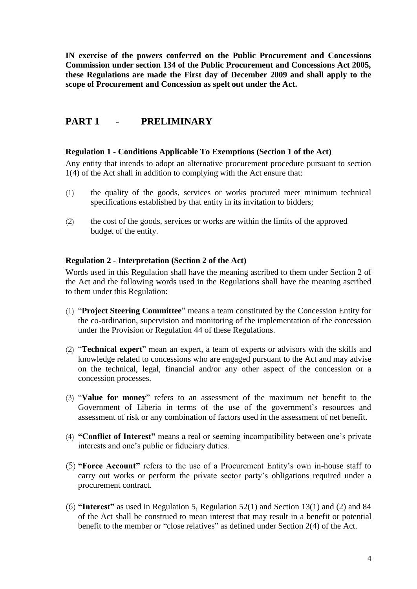**IN exercise of the powers conferred on the Public Procurement and Concessions Commission under section 134 of the Public Procurement and Concessions Act 2005, these Regulations are made the First day of December 2009 and shall apply to the scope of Procurement and Concession as spelt out under the Act.** 

## <span id="page-4-0"></span>**PART 1 - PRELIMINARY**

#### <span id="page-4-1"></span>**Regulation 1 - Conditions Applicable To Exemptions (Section 1 of the Act)**

Any entity that intends to adopt an alternative procurement procedure pursuant to section 1(4) of the Act shall in addition to complying with the Act ensure that:

- (1) the quality of the goods, services or works procured meet minimum technical specifications established by that entity in its invitation to bidders;
- (2) the cost of the goods, services or works are within the limits of the approved budget of the entity.

#### <span id="page-4-2"></span>**Regulation 2 - Interpretation (Section 2 of the Act)**

Words used in this Regulation shall have the meaning ascribed to them under Section 2 of the Act and the following words used in the Regulations shall have the meaning ascribed to them under this Regulation:

- (1) "**Project Steering Committee**" means a team constituted by the Concession Entity for the co-ordination, supervision and monitoring of the implementation of the concession under the Provision or Regulation 44 of these Regulations.
- (2) "**Technical expert**" mean an expert, a team of experts or advisors with the skills and knowledge related to concessions who are engaged pursuant to the Act and may advise on the technical, legal, financial and/or any other aspect of the concession or a concession processes.
- (3) "**Value for money**" refers to an assessment of the maximum net benefit to the Government of Liberia in terms of the use of the government's resources and assessment of risk or any combination of factors used in the assessment of net benefit.
- (4) **"Conflict of Interest"** means a real or seeming incompatibility between one's private interests and one's public or fiduciary duties.
- (5) **"Force Account"** refers to the use of a Procurement Entity's own in-house staff to carry out works or perform the private sector party's obligations required under a procurement contract.
- (6) **"Interest"** as used in Regulation 5, Regulation 52(1) and Section 13(1) and (2) and 84 of the Act shall be construed to mean interest that may result in a benefit or potential benefit to the member or "close relatives" as defined under Section 2(4) of the Act.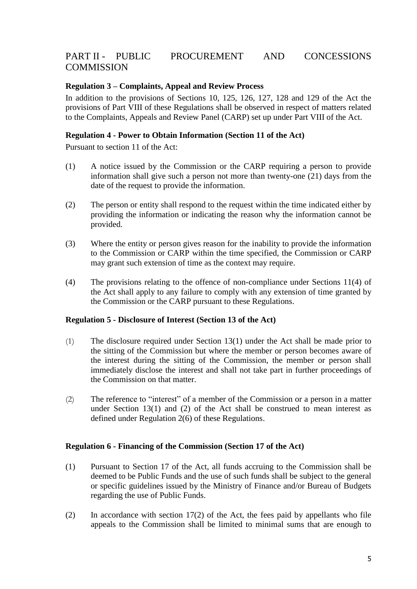## PART II - PUBLIC PROCUREMENT AND CONCESSIONS **COMMISSION**

#### <span id="page-5-0"></span>**Regulation 3 – Complaints, Appeal and Review Process**

In addition to the provisions of Sections 10, 125, 126, 127, 128 and 129 of the Act the provisions of Part VIII of these Regulations shall be observed in respect of matters related to the Complaints, Appeals and Review Panel (CARP) set up under Part VIII of the Act.

#### <span id="page-5-1"></span>**Regulation 4 - Power to Obtain Information (Section 11 of the Act)**

Pursuant to section 11 of the Act:

- (1) A notice issued by the Commission or the CARP requiring a person to provide information shall give such a person not more than twenty-one (21) days from the date of the request to provide the information.
- (2) The person or entity shall respond to the request within the time indicated either by providing the information or indicating the reason why the information cannot be provided.
- (3) Where the entity or person gives reason for the inability to provide the information to the Commission or CARP within the time specified, the Commission or CARP may grant such extension of time as the context may require.
- (4) The provisions relating to the offence of non-compliance under Sections 11(4) of the Act shall apply to any failure to comply with any extension of time granted by the Commission or the CARP pursuant to these Regulations.

#### <span id="page-5-2"></span>**Regulation 5 - Disclosure of Interest (Section 13 of the Act)**

- (1) The disclosure required under Section 13(1) under the Act shall be made prior to the sitting of the Commission but where the member or person becomes aware of the interest during the sitting of the Commission, the member or person shall immediately disclose the interest and shall not take part in further proceedings of the Commission on that matter.
- (2) The reference to "interest" of a member of the Commission or a person in a matter under Section  $13(1)$  and (2) of the Act shall be construed to mean interest as defined under Regulation 2(6) of these Regulations.

#### <span id="page-5-3"></span>**Regulation 6 - Financing of the Commission (Section 17 of the Act)**

- (1) Pursuant to Section 17 of the Act, all funds accruing to the Commission shall be deemed to be Public Funds and the use of such funds shall be subject to the general or specific guidelines issued by the Ministry of Finance and/or Bureau of Budgets regarding the use of Public Funds.
- (2) In accordance with section 17(2) of the Act, the fees paid by appellants who file appeals to the Commission shall be limited to minimal sums that are enough to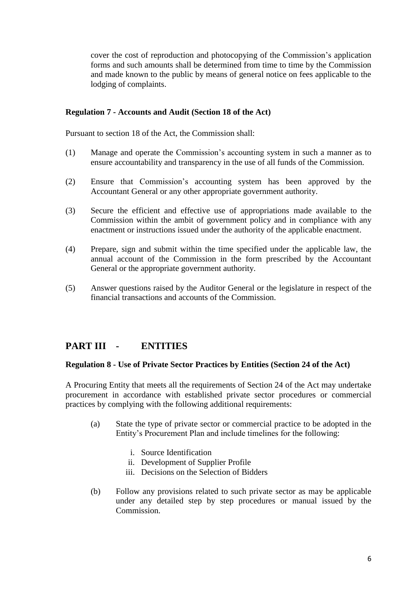cover the cost of reproduction and photocopying of the Commission's application forms and such amounts shall be determined from time to time by the Commission and made known to the public by means of general notice on fees applicable to the lodging of complaints.

#### <span id="page-6-0"></span>**Regulation 7 - Accounts and Audit (Section 18 of the Act)**

Pursuant to section 18 of the Act, the Commission shall:

- (1) Manage and operate the Commission's accounting system in such a manner as to ensure accountability and transparency in the use of all funds of the Commission.
- (2) Ensure that Commission's accounting system has been approved by the Accountant General or any other appropriate government authority.
- (3) Secure the efficient and effective use of appropriations made available to the Commission within the ambit of government policy and in compliance with any enactment or instructions issued under the authority of the applicable enactment.
- (4) Prepare, sign and submit within the time specified under the applicable law, the annual account of the Commission in the form prescribed by the Accountant General or the appropriate government authority.
- (5) Answer questions raised by the Auditor General or the legislature in respect of the financial transactions and accounts of the Commission.

## <span id="page-6-1"></span>**PART III - ENTITIES**

#### <span id="page-6-2"></span>**Regulation 8 - Use of Private Sector Practices by Entities (Section 24 of the Act)**

A Procuring Entity that meets all the requirements of Section 24 of the Act may undertake procurement in accordance with established private sector procedures or commercial practices by complying with the following additional requirements:

- (a) State the type of private sector or commercial practice to be adopted in the Entity's Procurement Plan and include timelines for the following:
	- i. Source Identification
	- ii. Development of Supplier Profile
	- iii. Decisions on the Selection of Bidders
- (b) Follow any provisions related to such private sector as may be applicable under any detailed step by step procedures or manual issued by the Commission.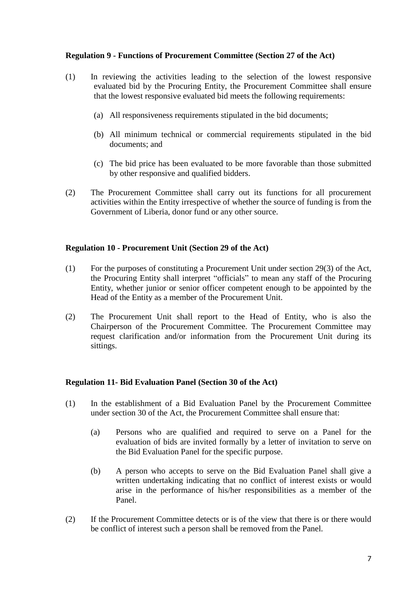#### <span id="page-7-0"></span>**Regulation 9 - Functions of Procurement Committee (Section 27 of the Act)**

- (1) In reviewing the activities leading to the selection of the lowest responsive evaluated bid by the Procuring Entity, the Procurement Committee shall ensure that the lowest responsive evaluated bid meets the following requirements:
	- (a) All responsiveness requirements stipulated in the bid documents;
	- (b) All minimum technical or commercial requirements stipulated in the bid documents; and
	- (c) The bid price has been evaluated to be more favorable than those submitted by other responsive and qualified bidders.
- (2) The Procurement Committee shall carry out its functions for all procurement activities within the Entity irrespective of whether the source of funding is from the Government of Liberia, donor fund or any other source.

#### <span id="page-7-1"></span>**Regulation 10 - Procurement Unit (Section 29 of the Act)**

- (1) For the purposes of constituting a Procurement Unit under section 29(3) of the Act, the Procuring Entity shall interpret "officials" to mean any staff of the Procuring Entity, whether junior or senior officer competent enough to be appointed by the Head of the Entity as a member of the Procurement Unit.
- (2) The Procurement Unit shall report to the Head of Entity, who is also the Chairperson of the Procurement Committee. The Procurement Committee may request clarification and/or information from the Procurement Unit during its sittings.

#### <span id="page-7-2"></span>**Regulation 11- Bid Evaluation Panel (Section 30 of the Act)**

- (1) In the establishment of a Bid Evaluation Panel by the Procurement Committee under section 30 of the Act, the Procurement Committee shall ensure that:
	- (a) Persons who are qualified and required to serve on a Panel for the evaluation of bids are invited formally by a letter of invitation to serve on the Bid Evaluation Panel for the specific purpose.
	- (b) A person who accepts to serve on the Bid Evaluation Panel shall give a written undertaking indicating that no conflict of interest exists or would arise in the performance of his/her responsibilities as a member of the Panel.
- (2) If the Procurement Committee detects or is of the view that there is or there would be conflict of interest such a person shall be removed from the Panel.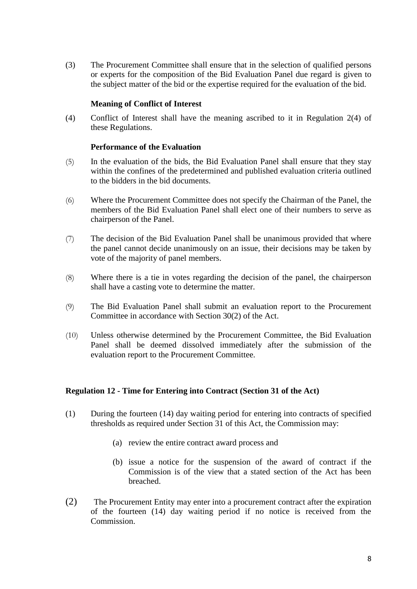(3) The Procurement Committee shall ensure that in the selection of qualified persons or experts for the composition of the Bid Evaluation Panel due regard is given to the subject matter of the bid or the expertise required for the evaluation of the bid.

#### **Meaning of Conflict of Interest**

(4) Conflict of Interest shall have the meaning ascribed to it in Regulation 2(4) of these Regulations.

#### **Performance of the Evaluation**

- (5) In the evaluation of the bids, the Bid Evaluation Panel shall ensure that they stay within the confines of the predetermined and published evaluation criteria outlined to the bidders in the bid documents.
- (6) Where the Procurement Committee does not specify the Chairman of the Panel, the members of the Bid Evaluation Panel shall elect one of their numbers to serve as chairperson of the Panel.
- (7) The decision of the Bid Evaluation Panel shall be unanimous provided that where the panel cannot decide unanimously on an issue, their decisions may be taken by vote of the majority of panel members.
- (8) Where there is a tie in votes regarding the decision of the panel, the chairperson shall have a casting vote to determine the matter.
- (9) The Bid Evaluation Panel shall submit an evaluation report to the Procurement Committee in accordance with Section 30(2) of the Act.
- (10) Unless otherwise determined by the Procurement Committee, the Bid Evaluation Panel shall be deemed dissolved immediately after the submission of the evaluation report to the Procurement Committee.

#### <span id="page-8-0"></span>**Regulation 12 - Time for Entering into Contract (Section 31 of the Act)**

- (1) During the fourteen (14) day waiting period for entering into contracts of specified thresholds as required under Section 31 of this Act, the Commission may:
	- (a) review the entire contract award process and
	- (b) issue a notice for the suspension of the award of contract if the Commission is of the view that a stated section of the Act has been breached.
- (2) The Procurement Entity may enter into a procurement contract after the expiration of the fourteen (14) day waiting period if no notice is received from the Commission.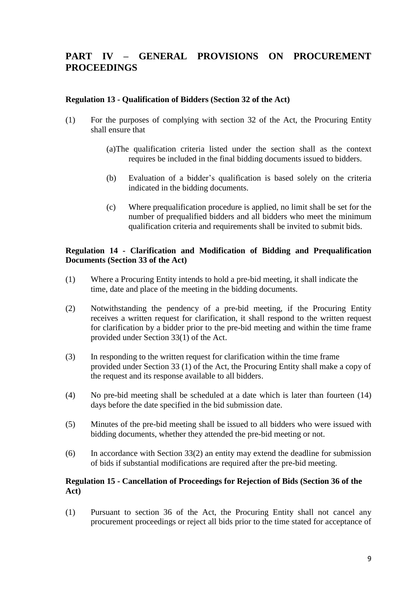## <span id="page-9-0"></span>**PART IV – GENERAL PROVISIONS ON PROCUREMENT PROCEEDINGS**

#### <span id="page-9-1"></span>**Regulation 13 - Qualification of Bidders (Section 32 of the Act)**

- (1) For the purposes of complying with section 32 of the Act, the Procuring Entity shall ensure that
	- (a)The qualification criteria listed under the section shall as the context requires be included in the final bidding documents issued to bidders.
	- (b) Evaluation of a bidder's qualification is based solely on the criteria indicated in the bidding documents.
	- (c) Where prequalification procedure is applied, no limit shall be set for the number of prequalified bidders and all bidders who meet the minimum qualification criteria and requirements shall be invited to submit bids.

#### <span id="page-9-2"></span>**Regulation 14 - Clarification and Modification of Bidding and Prequalification Documents (Section 33 of the Act)**

- (1) Where a Procuring Entity intends to hold a pre-bid meeting, it shall indicate the time, date and place of the meeting in the bidding documents.
- (2) Notwithstanding the pendency of a pre-bid meeting, if the Procuring Entity receives a written request for clarification, it shall respond to the written request for clarification by a bidder prior to the pre-bid meeting and within the time frame provided under Section 33(1) of the Act.
- (3) In responding to the written request for clarification within the time frame provided under Section 33 (1) of the Act, the Procuring Entity shall make a copy of the request and its response available to all bidders.
- (4) No pre-bid meeting shall be scheduled at a date which is later than fourteen (14) days before the date specified in the bid submission date.
- (5) Minutes of the pre-bid meeting shall be issued to all bidders who were issued with bidding documents, whether they attended the pre-bid meeting or not.
- (6) In accordance with Section 33(2) an entity may extend the deadline for submission of bids if substantial modifications are required after the pre-bid meeting.

#### <span id="page-9-3"></span>**Regulation 15 - Cancellation of Proceedings for Rejection of Bids (Section 36 of the Act)**

(1) Pursuant to section 36 of the Act, the Procuring Entity shall not cancel any procurement proceedings or reject all bids prior to the time stated for acceptance of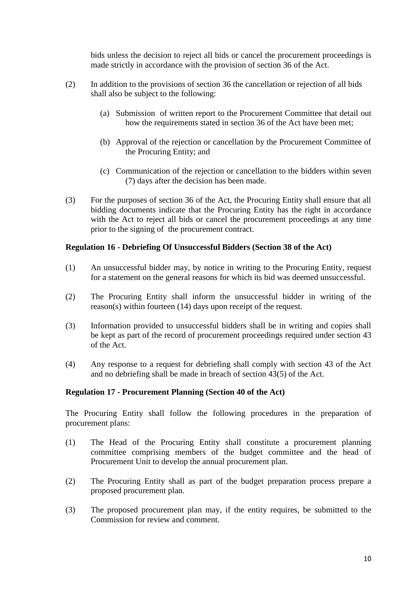bids unless the decision to reject all bids or cancel the procurement proceedings is made strictly in accordance with the provision of section 36 of the Act.

- (2) In addition to the provisions of section 36 the cancellation or rejection of all bids shall also be subject to the following:
	- (a) Submission of written report to the Procurement Committee that detail out how the requirements stated in section 36 of the Act have been met;
	- (b) Approval of the rejection or cancellation by the Procurement Committee of the Procuring Entity; and
	- (c) Communication of the rejection or cancellation to the bidders within seven (7) days after the decision has been made.
- (3) For the purposes of section 36 of the Act, the Procuring Entity shall ensure that all bidding documents indicate that the Procuring Entity has the right in accordance with the Act to reject all bids or cancel the procurement proceedings at any time prior to the signing of the procurement contract.

#### <span id="page-10-0"></span>**Regulation 16 - Debriefing Of Unsuccessful Bidders (Section 38 of the Act)**

- (1) An unsuccessful bidder may, by notice in writing to the Procuring Entity, request for a statement on the general reasons for which its bid was deemed unsuccessful.
- (2) The Procuring Entity shall inform the unsuccessful bidder in writing of the reason(s) within fourteen (14) days upon receipt of the request.
- (3) Information provided to unsuccessful bidders shall be in writing and copies shall be kept as part of the record of procurement proceedings required under section 43 of the Act.
- (4) Any response to a request for debriefing shall comply with section 43 of the Act and no debriefing shall be made in breach of section 43(5) of the Act.

#### <span id="page-10-1"></span>**Regulation 17 - Procurement Planning (Section 40 of the Act)**

The Procuring Entity shall follow the following procedures in the preparation of procurement plans:

- (1) The Head of the Procuring Entity shall constitute a procurement planning committee comprising members of the budget committee and the head of Procurement Unit to develop the annual procurement plan.
- (2) The Procuring Entity shall as part of the budget preparation process prepare a proposed procurement plan.
- (3) The proposed procurement plan may, if the entity requires, be submitted to the Commission for review and comment.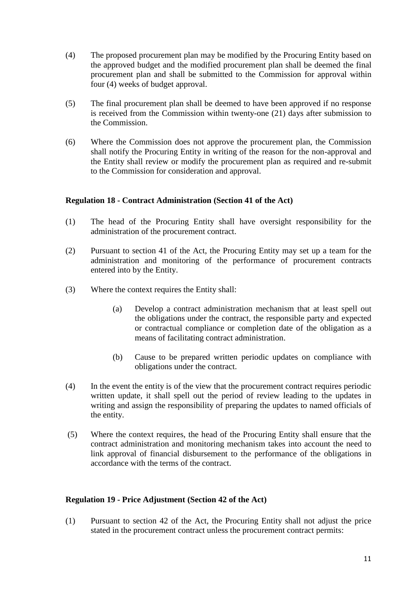- (4) The proposed procurement plan may be modified by the Procuring Entity based on the approved budget and the modified procurement plan shall be deemed the final procurement plan and shall be submitted to the Commission for approval within four (4) weeks of budget approval.
- (5) The final procurement plan shall be deemed to have been approved if no response is received from the Commission within twenty-one (21) days after submission to the Commission.
- (6) Where the Commission does not approve the procurement plan, the Commission shall notify the Procuring Entity in writing of the reason for the non-approval and the Entity shall review or modify the procurement plan as required and re-submit to the Commission for consideration and approval.

#### <span id="page-11-0"></span>**Regulation 18 - Contract Administration (Section 41 of the Act)**

- (1) The head of the Procuring Entity shall have oversight responsibility for the administration of the procurement contract.
- (2) Pursuant to section 41 of the Act, the Procuring Entity may set up a team for the administration and monitoring of the performance of procurement contracts entered into by the Entity.
- (3) Where the context requires the Entity shall:
	- (a) Develop a contract administration mechanism that at least spell out the obligations under the contract, the responsible party and expected or contractual compliance or completion date of the obligation as a means of facilitating contract administration.
	- (b) Cause to be prepared written periodic updates on compliance with obligations under the contract.
- (4) In the event the entity is of the view that the procurement contract requires periodic written update, it shall spell out the period of review leading to the updates in writing and assign the responsibility of preparing the updates to named officials of the entity.
- (5) Where the context requires, the head of the Procuring Entity shall ensure that the contract administration and monitoring mechanism takes into account the need to link approval of financial disbursement to the performance of the obligations in accordance with the terms of the contract.

#### <span id="page-11-1"></span>**Regulation 19 - Price Adjustment (Section 42 of the Act)**

(1) Pursuant to section 42 of the Act, the Procuring Entity shall not adjust the price stated in the procurement contract unless the procurement contract permits: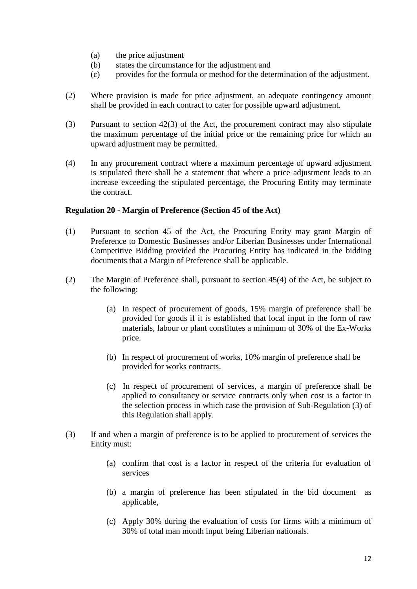- (a) the price adjustment
- (b) states the circumstance for the adjustment and
- (c) provides for the formula or method for the determination of the adjustment.
- (2) Where provision is made for price adjustment, an adequate contingency amount shall be provided in each contract to cater for possible upward adjustment.
- (3) Pursuant to section 42(3) of the Act, the procurement contract may also stipulate the maximum percentage of the initial price or the remaining price for which an upward adjustment may be permitted.
- (4) In any procurement contract where a maximum percentage of upward adjustment is stipulated there shall be a statement that where a price adjustment leads to an increase exceeding the stipulated percentage, the Procuring Entity may terminate the contract.

#### <span id="page-12-0"></span>**Regulation 20 - Margin of Preference (Section 45 of the Act)**

- (1) Pursuant to section 45 of the Act, the Procuring Entity may grant Margin of Preference to Domestic Businesses and/or Liberian Businesses under International Competitive Bidding provided the Procuring Entity has indicated in the bidding documents that a Margin of Preference shall be applicable.
- (2) The Margin of Preference shall, pursuant to section 45(4) of the Act, be subject to the following:
	- (a) In respect of procurement of goods, 15% margin of preference shall be provided for goods if it is established that local input in the form of raw materials, labour or plant constitutes a minimum of 30% of the Ex-Works price.
	- (b) In respect of procurement of works, 10% margin of preference shall be provided for works contracts.
	- (c) In respect of procurement of services, a margin of preference shall be applied to consultancy or service contracts only when cost is a factor in the selection process in which case the provision of Sub-Regulation (3) of this Regulation shall apply.
- (3) If and when a margin of preference is to be applied to procurement of services the Entity must:
	- (a) confirm that cost is a factor in respect of the criteria for evaluation of services
	- (b) a margin of preference has been stipulated in the bid document as applicable,
	- (c) Apply 30% during the evaluation of costs for firms with a minimum of 30% of total man month input being Liberian nationals.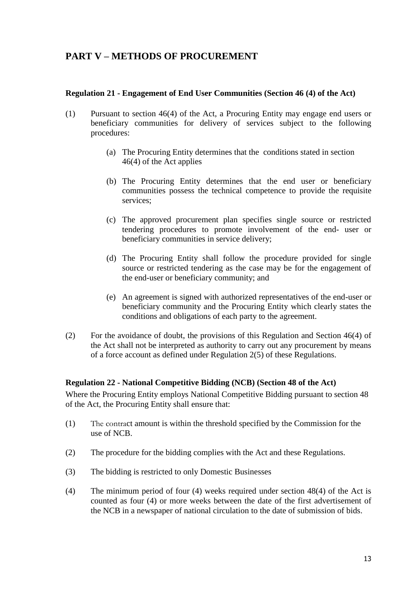## <span id="page-13-0"></span>**PART V – METHODS OF PROCUREMENT**

#### <span id="page-13-1"></span>**Regulation 21 - Engagement of End User Communities (Section 46 (4) of the Act)**

- (1) Pursuant to section 46(4) of the Act, a Procuring Entity may engage end users or beneficiary communities for delivery of services subject to the following procedures:
	- (a) The Procuring Entity determines that the conditions stated in section 46(4) of the Act applies
	- (b) The Procuring Entity determines that the end user or beneficiary communities possess the technical competence to provide the requisite services;
	- (c) The approved procurement plan specifies single source or restricted tendering procedures to promote involvement of the end- user or beneficiary communities in service delivery;
	- (d) The Procuring Entity shall follow the procedure provided for single source or restricted tendering as the case may be for the engagement of the end-user or beneficiary community; and
	- (e) An agreement is signed with authorized representatives of the end-user or beneficiary community and the Procuring Entity which clearly states the conditions and obligations of each party to the agreement.
- (2) For the avoidance of doubt, the provisions of this Regulation and Section 46(4) of the Act shall not be interpreted as authority to carry out any procurement by means of a force account as defined under Regulation 2(5) of these Regulations.

#### <span id="page-13-2"></span>**Regulation 22 - National Competitive Bidding (NCB) (Section 48 of the Act)**

Where the Procuring Entity employs National Competitive Bidding pursuant to section 48 of the Act, the Procuring Entity shall ensure that:

- (1) The contract amount is within the threshold specified by the Commission for the use of NCB.
- (2) The procedure for the bidding complies with the Act and these Regulations.
- (3) The bidding is restricted to only Domestic Businesses
- (4) The minimum period of four (4) weeks required under section 48(4) of the Act is counted as four (4) or more weeks between the date of the first advertisement of the NCB in a newspaper of national circulation to the date of submission of bids.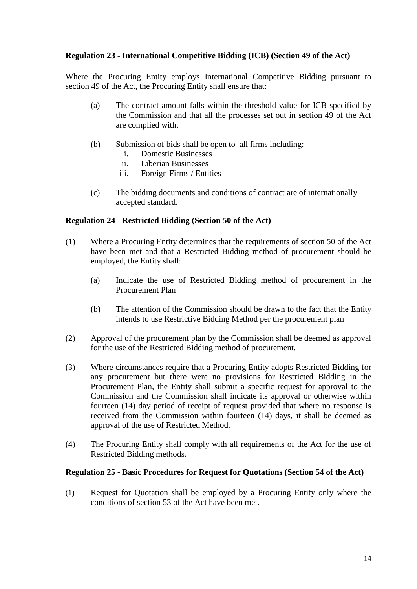#### <span id="page-14-0"></span>**Regulation 23 - International Competitive Bidding (ICB) (Section 49 of the Act)**

Where the Procuring Entity employs International Competitive Bidding pursuant to section 49 of the Act, the Procuring Entity shall ensure that:

- (a) The contract amount falls within the threshold value for ICB specified by the Commission and that all the processes set out in section 49 of the Act are complied with.
- (b) Submission of bids shall be open to all firms including:
	- i. Domestic Businesses
	- ii. Liberian Businesses
	- iii. Foreign Firms / Entities
- (c) The bidding documents and conditions of contract are of internationally accepted standard.

#### <span id="page-14-1"></span>**Regulation 24 - Restricted Bidding (Section 50 of the Act)**

- (1) Where a Procuring Entity determines that the requirements of section 50 of the Act have been met and that a Restricted Bidding method of procurement should be employed, the Entity shall:
	- (a) Indicate the use of Restricted Bidding method of procurement in the Procurement Plan
	- (b) The attention of the Commission should be drawn to the fact that the Entity intends to use Restrictive Bidding Method per the procurement plan
- (2) Approval of the procurement plan by the Commission shall be deemed as approval for the use of the Restricted Bidding method of procurement.
- (3) Where circumstances require that a Procuring Entity adopts Restricted Bidding for any procurement but there were no provisions for Restricted Bidding in the Procurement Plan, the Entity shall submit a specific request for approval to the Commission and the Commission shall indicate its approval or otherwise within fourteen (14) day period of receipt of request provided that where no response is received from the Commission within fourteen (14) days, it shall be deemed as approval of the use of Restricted Method.
- (4) The Procuring Entity shall comply with all requirements of the Act for the use of Restricted Bidding methods.

#### <span id="page-14-2"></span>**Regulation 25 - Basic Procedures for Request for Quotations (Section 54 of the Act)**

(1) Request for Quotation shall be employed by a Procuring Entity only where the conditions of section 53 of the Act have been met.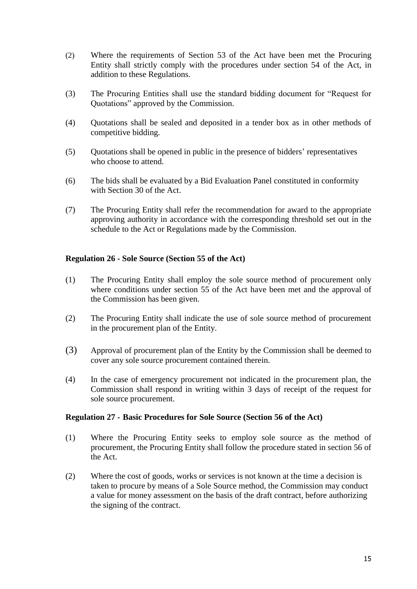- (2) Where the requirements of Section 53 of the Act have been met the Procuring Entity shall strictly comply with the procedures under section 54 of the Act, in addition to these Regulations.
- (3) The Procuring Entities shall use the standard bidding document for "Request for Quotations" approved by the Commission.
- (4) Quotations shall be sealed and deposited in a tender box as in other methods of competitive bidding.
- (5) Quotations shall be opened in public in the presence of bidders' representatives who choose to attend.
- (6) The bids shall be evaluated by a Bid Evaluation Panel constituted in conformity with Section 30 of the Act.
- (7) The Procuring Entity shall refer the recommendation for award to the appropriate approving authority in accordance with the corresponding threshold set out in the schedule to the Act or Regulations made by the Commission.

#### <span id="page-15-0"></span>**Regulation 26 - Sole Source (Section 55 of the Act)**

- (1) The Procuring Entity shall employ the sole source method of procurement only where conditions under section 55 of the Act have been met and the approval of the Commission has been given.
- (2) The Procuring Entity shall indicate the use of sole source method of procurement in the procurement plan of the Entity.
- (3) Approval of procurement plan of the Entity by the Commission shall be deemed to cover any sole source procurement contained therein.
- (4) In the case of emergency procurement not indicated in the procurement plan, the Commission shall respond in writing within 3 days of receipt of the request for sole source procurement.

#### <span id="page-15-1"></span>**Regulation 27 - Basic Procedures for Sole Source (Section 56 of the Act)**

- (1) Where the Procuring Entity seeks to employ sole source as the method of procurement, the Procuring Entity shall follow the procedure stated in section 56 of the Act.
- (2) Where the cost of goods, works or services is not known at the time a decision is taken to procure by means of a Sole Source method, the Commission may conduct a value for money assessment on the basis of the draft contract, before authorizing the signing of the contract.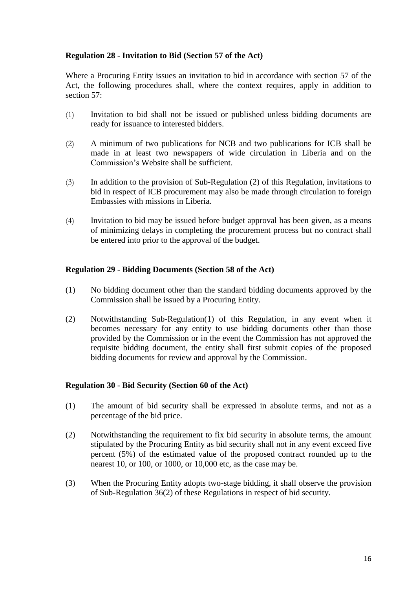#### <span id="page-16-0"></span>**Regulation 28 - Invitation to Bid (Section 57 of the Act)**

Where a Procuring Entity issues an invitation to bid in accordance with section 57 of the Act, the following procedures shall, where the context requires, apply in addition to section 57:

- (1) Invitation to bid shall not be issued or published unless bidding documents are ready for issuance to interested bidders.
- (2) A minimum of two publications for NCB and two publications for ICB shall be made in at least two newspapers of wide circulation in Liberia and on the Commission's Website shall be sufficient.
- (3) In addition to the provision of Sub-Regulation (2) of this Regulation, invitations to bid in respect of ICB procurement may also be made through circulation to foreign Embassies with missions in Liberia.
- (4) Invitation to bid may be issued before budget approval has been given, as a means of minimizing delays in completing the procurement process but no contract shall be entered into prior to the approval of the budget.

#### <span id="page-16-1"></span>**Regulation 29 - Bidding Documents (Section 58 of the Act)**

- (1) No bidding document other than the standard bidding documents approved by the Commission shall be issued by a Procuring Entity.
- (2) Notwithstanding Sub-Regulation(1) of this Regulation, in any event when it becomes necessary for any entity to use bidding documents other than those provided by the Commission or in the event the Commission has not approved the requisite bidding document, the entity shall first submit copies of the proposed bidding documents for review and approval by the Commission.

#### <span id="page-16-2"></span>**Regulation 30 - Bid Security (Section 60 of the Act)**

- (1) The amount of bid security shall be expressed in absolute terms, and not as a percentage of the bid price.
- (2) Notwithstanding the requirement to fix bid security in absolute terms, the amount stipulated by the Procuring Entity as bid security shall not in any event exceed five percent (5%) of the estimated value of the proposed contract rounded up to the nearest 10, or 100, or 1000, or 10,000 etc, as the case may be.
- (3) When the Procuring Entity adopts two-stage bidding, it shall observe the provision of Sub-Regulation 36(2) of these Regulations in respect of bid security.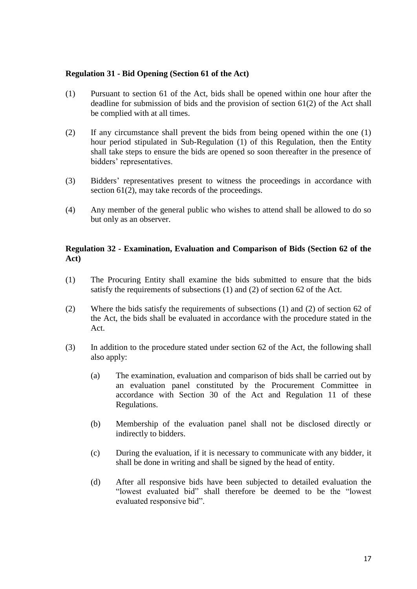#### <span id="page-17-0"></span>**Regulation 31 - Bid Opening (Section 61 of the Act)**

- (1) Pursuant to section 61 of the Act, bids shall be opened within one hour after the deadline for submission of bids and the provision of section 61(2) of the Act shall be complied with at all times.
- (2) If any circumstance shall prevent the bids from being opened within the one (1) hour period stipulated in Sub-Regulation (1) of this Regulation, then the Entity shall take steps to ensure the bids are opened so soon thereafter in the presence of bidders' representatives.
- (3) Bidders' representatives present to witness the proceedings in accordance with section 61(2), may take records of the proceedings.
- (4) Any member of the general public who wishes to attend shall be allowed to do so but only as an observer.

#### <span id="page-17-1"></span>**Regulation 32 - Examination, Evaluation and Comparison of Bids (Section 62 of the Act)**

- (1) The Procuring Entity shall examine the bids submitted to ensure that the bids satisfy the requirements of subsections (1) and (2) of section 62 of the Act.
- (2) Where the bids satisfy the requirements of subsections (1) and (2) of section 62 of the Act, the bids shall be evaluated in accordance with the procedure stated in the Act.
- (3) In addition to the procedure stated under section 62 of the Act, the following shall also apply:
	- (a) The examination, evaluation and comparison of bids shall be carried out by an evaluation panel constituted by the Procurement Committee in accordance with Section 30 of the Act and Regulation 11 of these Regulations.
	- (b) Membership of the evaluation panel shall not be disclosed directly or indirectly to bidders.
	- (c) During the evaluation, if it is necessary to communicate with any bidder, it shall be done in writing and shall be signed by the head of entity.
	- (d) After all responsive bids have been subjected to detailed evaluation the "lowest evaluated bid" shall therefore be deemed to be the "lowest evaluated responsive bid".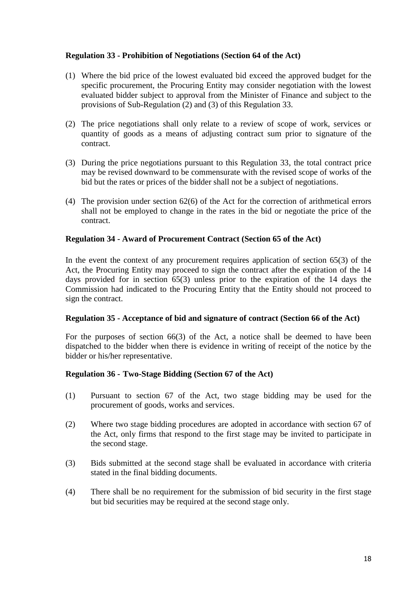#### <span id="page-18-0"></span>**Regulation 33 - Prohibition of Negotiations (Section 64 of the Act)**

- (1) Where the bid price of the lowest evaluated bid exceed the approved budget for the specific procurement, the Procuring Entity may consider negotiation with the lowest evaluated bidder subject to approval from the Minister of Finance and subject to the provisions of Sub-Regulation (2) and (3) of this Regulation 33.
- (2) The price negotiations shall only relate to a review of scope of work, services or quantity of goods as a means of adjusting contract sum prior to signature of the contract.
- (3) During the price negotiations pursuant to this Regulation 33, the total contract price may be revised downward to be commensurate with the revised scope of works of the bid but the rates or prices of the bidder shall not be a subject of negotiations.
- (4) The provision under section 62(6) of the Act for the correction of arithmetical errors shall not be employed to change in the rates in the bid or negotiate the price of the contract.

#### <span id="page-18-1"></span>**Regulation 34 - Award of Procurement Contract (Section 65 of the Act)**

In the event the context of any procurement requires application of section 65(3) of the Act, the Procuring Entity may proceed to sign the contract after the expiration of the 14 days provided for in section 65(3) unless prior to the expiration of the 14 days the Commission had indicated to the Procuring Entity that the Entity should not proceed to sign the contract.

#### **Regulation 35 - Acceptance of bid and signature of contract (Section 66 of the Act)**

For the purposes of section 66(3) of the Act, a notice shall be deemed to have been dispatched to the bidder when there is evidence in writing of receipt of the notice by the bidder or his/her representative.

#### <span id="page-18-2"></span>**Regulation 36 - Two-Stage Bidding (Section 67 of the Act)**

- (1) Pursuant to section 67 of the Act, two stage bidding may be used for the procurement of goods, works and services.
- (2) Where two stage bidding procedures are adopted in accordance with section 67 of the Act, only firms that respond to the first stage may be invited to participate in the second stage.
- (3) Bids submitted at the second stage shall be evaluated in accordance with criteria stated in the final bidding documents.
- (4) There shall be no requirement for the submission of bid security in the first stage but bid securities may be required at the second stage only.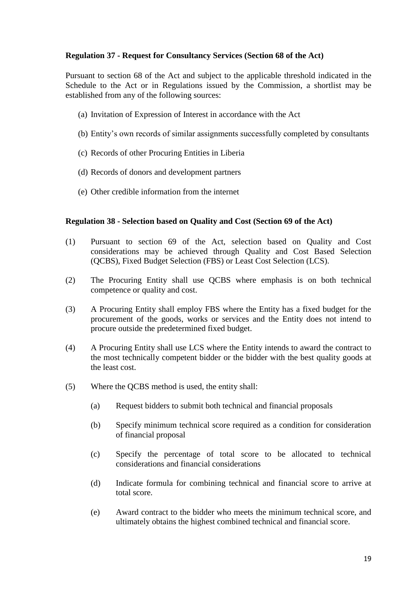#### <span id="page-19-0"></span>**Regulation 37 - Request for Consultancy Services (Section 68 of the Act)**

Pursuant to section 68 of the Act and subject to the applicable threshold indicated in the Schedule to the Act or in Regulations issued by the Commission, a shortlist may be established from any of the following sources:

- (a) Invitation of Expression of Interest in accordance with the Act
- (b) Entity's own records of similar assignments successfully completed by consultants
- (c) Records of other Procuring Entities in Liberia
- (d) Records of donors and development partners
- (e) Other credible information from the internet

#### <span id="page-19-1"></span>**Regulation 38 - Selection based on Quality and Cost (Section 69 of the Act)**

- (1) Pursuant to section 69 of the Act, selection based on Quality and Cost considerations may be achieved through Quality and Cost Based Selection (QCBS), Fixed Budget Selection (FBS) or Least Cost Selection (LCS).
- (2) The Procuring Entity shall use QCBS where emphasis is on both technical competence or quality and cost.
- (3) A Procuring Entity shall employ FBS where the Entity has a fixed budget for the procurement of the goods, works or services and the Entity does not intend to procure outside the predetermined fixed budget.
- (4) A Procuring Entity shall use LCS where the Entity intends to award the contract to the most technically competent bidder or the bidder with the best quality goods at the least cost.
- (5) Where the QCBS method is used, the entity shall:
	- (a) Request bidders to submit both technical and financial proposals
	- (b) Specify minimum technical score required as a condition for consideration of financial proposal
	- (c) Specify the percentage of total score to be allocated to technical considerations and financial considerations
	- (d) Indicate formula for combining technical and financial score to arrive at total score.
	- (e) Award contract to the bidder who meets the minimum technical score, and ultimately obtains the highest combined technical and financial score.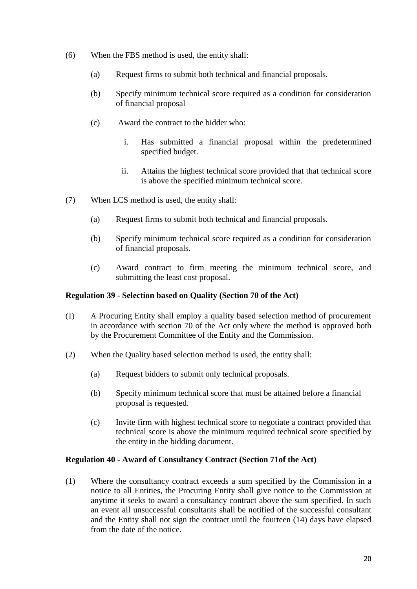- (6) When the FBS method is used, the entity shall:
	- (a) Request firms to submit both technical and financial proposals.
	- (b) Specify minimum technical score required as a condition for consideration of financial proposal
	- (c) Award the contract to the bidder who:
		- i. Has submitted a financial proposal within the predetermined specified budget.
		- ii. Attains the highest technical score provided that that technical score is above the specified minimum technical score.
- (7) When LCS method is used, the entity shall:
	- (a) Request firms to submit both technical and financial proposals.
	- (b) Specify minimum technical score required as a condition for consideration of financial proposals.
	- (c) Award contract to firm meeting the minimum technical score, and submitting the least cost proposal.

#### <span id="page-20-0"></span>**Regulation 39 - Selection based on Quality (Section 70 of the Act)**

- (1) A Procuring Entity shall employ a quality based selection method of procurement in accordance with section 70 of the Act only where the method is approved both by the Procurement Committee of the Entity and the Commission.
- (2) When the Quality based selection method is used, the entity shall:
	- (a) Request bidders to submit only technical proposals.
	- (b) Specify minimum technical score that must be attained before a financial proposal is requested.
	- (c) Invite firm with highest technical score to negotiate a contract provided that technical score is above the minimum required technical score specified by the entity in the bidding document.

#### <span id="page-20-1"></span>**Regulation 40 - Award of Consultancy Contract (Section 71of the Act)**

(1) Where the consultancy contract exceeds a sum specified by the Commission in a notice to all Entities, the Procuring Entity shall give notice to the Commission at anytime it seeks to award a consultancy contract above the sum specified. In such an event all unsuccessful consultants shall be notified of the successful consultant and the Entity shall not sign the contract until the fourteen (14) days have elapsed from the date of the notice.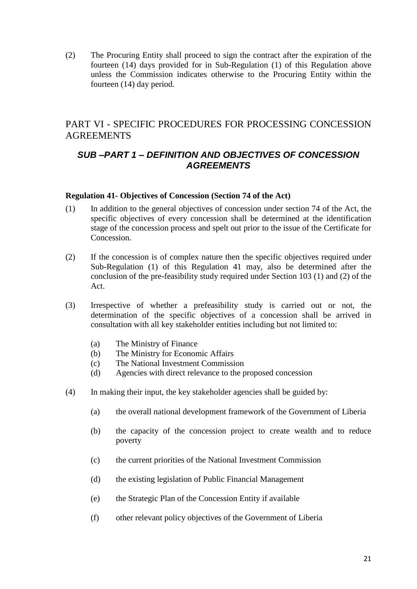(2) The Procuring Entity shall proceed to sign the contract after the expiration of the fourteen (14) days provided for in Sub-Regulation (1) of this Regulation above unless the Commission indicates otherwise to the Procuring Entity within the fourteen (14) day period.

## <span id="page-21-0"></span>PART VI - SPECIFIC PROCEDURES FOR PROCESSING CONCESSION AGREEMENTS

## <span id="page-21-1"></span>*SUB –PART 1 – DEFINITION AND OBJECTIVES OF CONCESSION AGREEMENTS*

#### <span id="page-21-2"></span>**Regulation 41- Objectives of Concession (Section 74 of the Act)**

- (1) In addition to the general objectives of concession under section 74 of the Act, the specific objectives of every concession shall be determined at the identification stage of the concession process and spelt out prior to the issue of the Certificate for **Concession**
- (2) If the concession is of complex nature then the specific objectives required under Sub-Regulation (1) of this Regulation 41 may, also be determined after the conclusion of the pre-feasibility study required under Section 103 (1) and (2) of the Act.
- (3) Irrespective of whether a prefeasibility study is carried out or not, the determination of the specific objectives of a concession shall be arrived in consultation with all key stakeholder entities including but not limited to:
	- (a) The Ministry of Finance
	- (b) The Ministry for Economic Affairs
	- (c) The National Investment Commission
	- (d) Agencies with direct relevance to the proposed concession
- (4) In making their input, the key stakeholder agencies shall be guided by:
	- (a) the overall national development framework of the Government of Liberia
	- (b) the capacity of the concession project to create wealth and to reduce poverty
	- (c) the current priorities of the National Investment Commission
	- (d) the existing legislation of Public Financial Management
	- (e) the Strategic Plan of the Concession Entity if available
	- (f) other relevant policy objectives of the Government of Liberia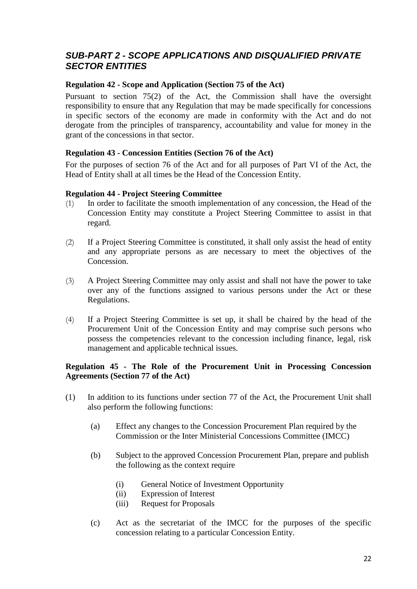## <span id="page-22-0"></span>*SUB-PART 2 - SCOPE APPLICATIONS AND DISQUALIFIED PRIVATE SECTOR ENTITIES*

#### <span id="page-22-1"></span>**Regulation 42 - Scope and Application (Section 75 of the Act)**

Pursuant to section 75(2) of the Act, the Commission shall have the oversight responsibility to ensure that any Regulation that may be made specifically for concessions in specific sectors of the economy are made in conformity with the Act and do not derogate from the principles of transparency, accountability and value for money in the grant of the concessions in that sector.

#### <span id="page-22-2"></span>**Regulation 43 - Concession Entities (Section 76 of the Act)**

For the purposes of section 76 of the Act and for all purposes of Part VI of the Act, the Head of Entity shall at all times be the Head of the Concession Entity.

#### **Regulation 44 - Project Steering Committee**

- (1) In order to facilitate the smooth implementation of any concession, the Head of the Concession Entity may constitute a Project Steering Committee to assist in that regard.
- (2) If a Project Steering Committee is constituted, it shall only assist the head of entity and any appropriate persons as are necessary to meet the objectives of the Concession.
- (3) A Project Steering Committee may only assist and shall not have the power to take over any of the functions assigned to various persons under the Act or these Regulations.
- (4) If a Project Steering Committee is set up, it shall be chaired by the head of the Procurement Unit of the Concession Entity and may comprise such persons who possess the competencies relevant to the concession including finance, legal, risk management and applicable technical issues.

#### <span id="page-22-3"></span>**Regulation 45 - The Role of the Procurement Unit in Processing Concession Agreements (Section 77 of the Act)**

- (1) In addition to its functions under section 77 of the Act, the Procurement Unit shall also perform the following functions:
	- (a) Effect any changes to the Concession Procurement Plan required by the Commission or the Inter Ministerial Concessions Committee (IMCC)
	- (b) Subject to the approved Concession Procurement Plan, prepare and publish the following as the context require
		- (i) General Notice of Investment Opportunity
		- (ii) Expression of Interest
		- (iii) Request for Proposals
	- (c) Act as the secretariat of the IMCC for the purposes of the specific concession relating to a particular Concession Entity.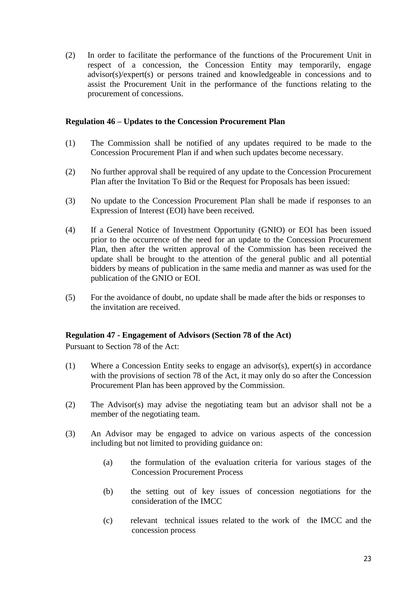(2) In order to facilitate the performance of the functions of the Procurement Unit in respect of a concession, the Concession Entity may temporarily, engage advisor(s)/expert(s) or persons trained and knowledgeable in concessions and to assist the Procurement Unit in the performance of the functions relating to the procurement of concessions.

#### <span id="page-23-0"></span>**Regulation 46 – Updates to the Concession Procurement Plan**

- (1) The Commission shall be notified of any updates required to be made to the Concession Procurement Plan if and when such updates become necessary.
- (2) No further approval shall be required of any update to the Concession Procurement Plan after the Invitation To Bid or the Request for Proposals has been issued:
- (3) No update to the Concession Procurement Plan shall be made if responses to an Expression of Interest (EOI) have been received.
- (4) If a General Notice of Investment Opportunity (GNIO) or EOI has been issued prior to the occurrence of the need for an update to the Concession Procurement Plan, then after the written approval of the Commission has been received the update shall be brought to the attention of the general public and all potential bidders by means of publication in the same media and manner as was used for the publication of the GNIO or EOI.
- (5) For the avoidance of doubt, no update shall be made after the bids or responses to the invitation are received.

#### <span id="page-23-1"></span>**Regulation 47 - Engagement of Advisors (Section 78 of the Act)**

Pursuant to Section 78 of the Act:

- (1) Where a Concession Entity seeks to engage an advisor(s), expert(s) in accordance with the provisions of section 78 of the Act, it may only do so after the Concession Procurement Plan has been approved by the Commission.
- (2) The Advisor(s) may advise the negotiating team but an advisor shall not be a member of the negotiating team.
- (3) An Advisor may be engaged to advice on various aspects of the concession including but not limited to providing guidance on:
	- (a) the formulation of the evaluation criteria for various stages of the Concession Procurement Process
	- (b) the setting out of key issues of concession negotiations for the consideration of the IMCC
	- (c) relevant technical issues related to the work of the IMCC and the concession process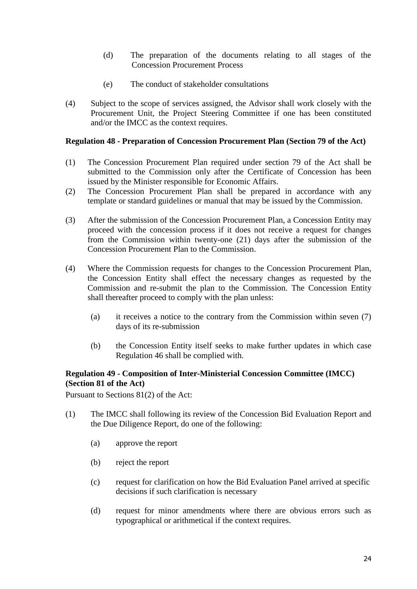- (d) The preparation of the documents relating to all stages of the Concession Procurement Process
- (e) The conduct of stakeholder consultations
- (4) Subject to the scope of services assigned, the Advisor shall work closely with the Procurement Unit, the Project Steering Committee if one has been constituted and/or the IMCC as the context requires.

#### <span id="page-24-0"></span>**Regulation 48 - Preparation of Concession Procurement Plan (Section 79 of the Act)**

- (1) The Concession Procurement Plan required under section 79 of the Act shall be submitted to the Commission only after the Certificate of Concession has been issued by the Minister responsible for Economic Affairs.
- (2) The Concession Procurement Plan shall be prepared in accordance with any template or standard guidelines or manual that may be issued by the Commission.
- (3) After the submission of the Concession Procurement Plan, a Concession Entity may proceed with the concession process if it does not receive a request for changes from the Commission within twenty-one (21) days after the submission of the Concession Procurement Plan to the Commission.
- (4) Where the Commission requests for changes to the Concession Procurement Plan, the Concession Entity shall effect the necessary changes as requested by the Commission and re-submit the plan to the Commission. The Concession Entity shall thereafter proceed to comply with the plan unless:
	- (a) it receives a notice to the contrary from the Commission within seven (7) days of its re-submission
	- (b) the Concession Entity itself seeks to make further updates in which case Regulation 46 shall be complied with.

#### <span id="page-24-1"></span>**Regulation 49 - Composition of Inter-Ministerial Concession Committee (IMCC) (Section 81 of the Act)**

Pursuant to Sections 81(2) of the Act:

- (1) The IMCC shall following its review of the Concession Bid Evaluation Report and the Due Diligence Report, do one of the following:
	- (a) approve the report
	- (b) reject the report
	- (c) request for clarification on how the Bid Evaluation Panel arrived at specific decisions if such clarification is necessary
	- (d) request for minor amendments where there are obvious errors such as typographical or arithmetical if the context requires.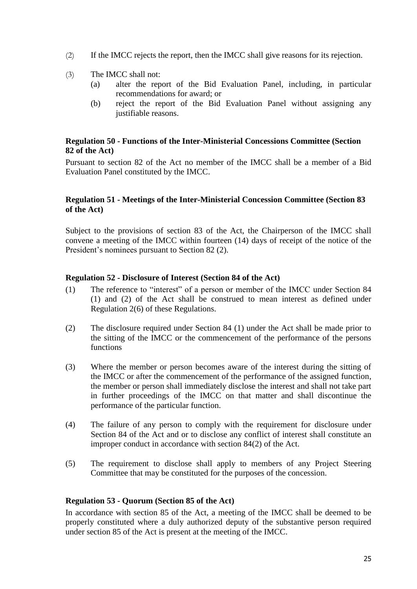- (2) If the IMCC rejects the report, then the IMCC shall give reasons for its rejection.
- (3) The IMCC shall not:
	- (a) alter the report of the Bid Evaluation Panel, including, in particular recommendations for award; or
	- (b) reject the report of the Bid Evaluation Panel without assigning any justifiable reasons.

#### <span id="page-25-0"></span>**Regulation 50 - Functions of the Inter-Ministerial Concessions Committee (Section 82 of the Act)**

Pursuant to section 82 of the Act no member of the IMCC shall be a member of a Bid Evaluation Panel constituted by the IMCC.

#### <span id="page-25-1"></span>**Regulation 51 - Meetings of the Inter-Ministerial Concession Committee (Section 83 of the Act)**

Subject to the provisions of section 83 of the Act, the Chairperson of the IMCC shall convene a meeting of the IMCC within fourteen (14) days of receipt of the notice of the President's nominees pursuant to Section 82 (2).

#### <span id="page-25-2"></span>**Regulation 52 - Disclosure of Interest (Section 84 of the Act)**

- (1) The reference to "interest" of a person or member of the IMCC under Section 84 (1) and (2) of the Act shall be construed to mean interest as defined under Regulation 2(6) of these Regulations.
- (2) The disclosure required under Section 84 (1) under the Act shall be made prior to the sitting of the IMCC or the commencement of the performance of the persons functions
- (3) Where the member or person becomes aware of the interest during the sitting of the IMCC or after the commencement of the performance of the assigned function, the member or person shall immediately disclose the interest and shall not take part in further proceedings of the IMCC on that matter and shall discontinue the performance of the particular function.
- (4) The failure of any person to comply with the requirement for disclosure under Section 84 of the Act and or to disclose any conflict of interest shall constitute an improper conduct in accordance with section 84(2) of the Act.
- (5) The requirement to disclose shall apply to members of any Project Steering Committee that may be constituted for the purposes of the concession.

#### <span id="page-25-3"></span>**Regulation 53 - Quorum (Section 85 of the Act)**

In accordance with section 85 of the Act, a meeting of the IMCC shall be deemed to be properly constituted where a duly authorized deputy of the substantive person required under section 85 of the Act is present at the meeting of the IMCC.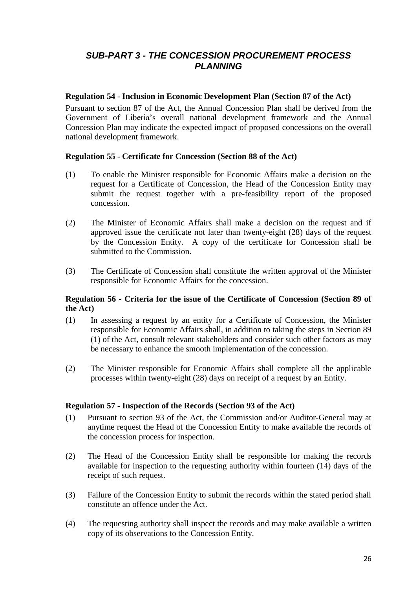## <span id="page-26-0"></span>*SUB-PART 3 - THE CONCESSION PROCUREMENT PROCESS PLANNING*

#### <span id="page-26-1"></span>**Regulation 54 - Inclusion in Economic Development Plan (Section 87 of the Act)**

Pursuant to section 87 of the Act, the Annual Concession Plan shall be derived from the Government of Liberia's overall national development framework and the Annual Concession Plan may indicate the expected impact of proposed concessions on the overall national development framework.

#### **Regulation 55 - Certificate for Concession (Section 88 of the Act)**

- (1) To enable the Minister responsible for Economic Affairs make a decision on the request for a Certificate of Concession, the Head of the Concession Entity may submit the request together with a pre-feasibility report of the proposed concession.
- (2) The Minister of Economic Affairs shall make a decision on the request and if approved issue the certificate not later than twenty-eight (28) days of the request by the Concession Entity. A copy of the certificate for Concession shall be submitted to the Commission.
- (3) The Certificate of Concession shall constitute the written approval of the Minister responsible for Economic Affairs for the concession.

#### <span id="page-26-2"></span>**Regulation 56 - Criteria for the issue of the Certificate of Concession (Section 89 of the Act)**

- (1) In assessing a request by an entity for a Certificate of Concession, the Minister responsible for Economic Affairs shall, in addition to taking the steps in Section 89 (1) of the Act, consult relevant stakeholders and consider such other factors as may be necessary to enhance the smooth implementation of the concession.
- (2) The Minister responsible for Economic Affairs shall complete all the applicable processes within twenty-eight (28) days on receipt of a request by an Entity.

#### <span id="page-26-3"></span>**Regulation 57 - Inspection of the Records (Section 93 of the Act)**

- (1) Pursuant to section 93 of the Act, the Commission and/or Auditor-General may at anytime request the Head of the Concession Entity to make available the records of the concession process for inspection.
- (2) The Head of the Concession Entity shall be responsible for making the records available for inspection to the requesting authority within fourteen (14) days of the receipt of such request.
- (3) Failure of the Concession Entity to submit the records within the stated period shall constitute an offence under the Act.
- (4) The requesting authority shall inspect the records and may make available a written copy of its observations to the Concession Entity.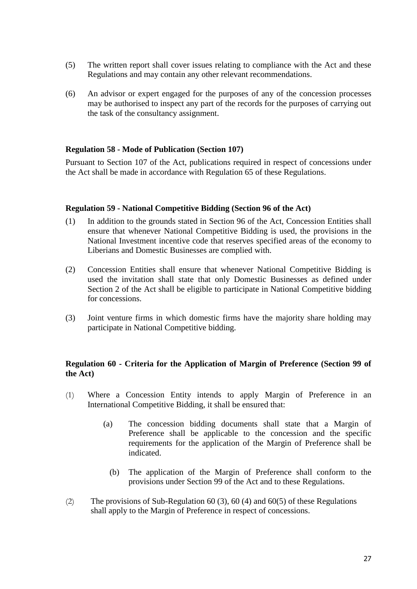- (5) The written report shall cover issues relating to compliance with the Act and these Regulations and may contain any other relevant recommendations.
- (6) An advisor or expert engaged for the purposes of any of the concession processes may be authorised to inspect any part of the records for the purposes of carrying out the task of the consultancy assignment.

#### <span id="page-27-0"></span>**Regulation 58 - Mode of Publication (Section 107)**

Pursuant to Section 107 of the Act, publications required in respect of concessions under the Act shall be made in accordance with Regulation 65 of these Regulations.

#### <span id="page-27-1"></span>**Regulation 59 - National Competitive Bidding (Section 96 of the Act)**

- (1) In addition to the grounds stated in Section 96 of the Act, Concession Entities shall ensure that whenever National Competitive Bidding is used, the provisions in the National Investment incentive code that reserves specified areas of the economy to Liberians and Domestic Businesses are complied with.
- (2) Concession Entities shall ensure that whenever National Competitive Bidding is used the invitation shall state that only Domestic Businesses as defined under Section 2 of the Act shall be eligible to participate in National Competitive bidding for concessions.
- (3) Joint venture firms in which domestic firms have the majority share holding may participate in National Competitive bidding.

#### <span id="page-27-2"></span>**Regulation 60 - Criteria for the Application of Margin of Preference (Section 99 of the Act)**

- (1) Where a Concession Entity intends to apply Margin of Preference in an International Competitive Bidding, it shall be ensured that:
	- (a) The concession bidding documents shall state that a Margin of Preference shall be applicable to the concession and the specific requirements for the application of the Margin of Preference shall be indicated.
		- (b) The application of the Margin of Preference shall conform to the provisions under Section 99 of the Act and to these Regulations.
- (2) The provisions of Sub-Regulation 60 (3), 60 (4) and 60(5) of these Regulations shall apply to the Margin of Preference in respect of concessions.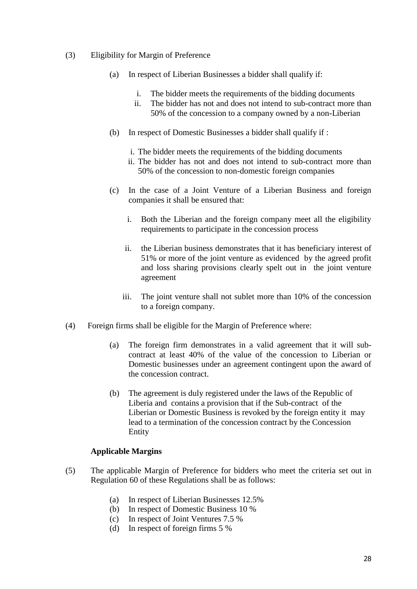#### (3) Eligibility for Margin of Preference

- (a) In respect of Liberian Businesses a bidder shall qualify if:
	- i. The bidder meets the requirements of the bidding documents
	- ii. The bidder has not and does not intend to sub-contract more than 50% of the concession to a company owned by a non-Liberian
- (b) In respect of Domestic Businesses a bidder shall qualify if :
	- i. The bidder meets the requirements of the bidding documents
	- ii. The bidder has not and does not intend to sub-contract more than 50% of the concession to non-domestic foreign companies
- (c) In the case of a Joint Venture of a Liberian Business and foreign companies it shall be ensured that:
	- i. Both the Liberian and the foreign company meet all the eligibility requirements to participate in the concession process
	- ii. the Liberian business demonstrates that it has beneficiary interest of 51% or more of the joint venture as evidenced by the agreed profit and loss sharing provisions clearly spelt out in the joint venture agreement
	- iii. The joint venture shall not sublet more than 10% of the concession to a foreign company.
- (4) Foreign firms shall be eligible for the Margin of Preference where:
	- (a) The foreign firm demonstrates in a valid agreement that it will subcontract at least 40% of the value of the concession to Liberian or Domestic businesses under an agreement contingent upon the award of the concession contract.
	- (b) The agreement is duly registered under the laws of the Republic of Liberia and contains a provision that if the Sub-contract of the Liberian or Domestic Business is revoked by the foreign entity it may lead to a termination of the concession contract by the Concession Entity

#### **Applicable Margins**

- (5) The applicable Margin of Preference for bidders who meet the criteria set out in Regulation 60 of these Regulations shall be as follows:
	- (a) In respect of Liberian Businesses 12.5%
	- (b) In respect of Domestic Business 10 %
	- (c) In respect of Joint Ventures 7.5 %
	- (d) In respect of foreign firms 5 %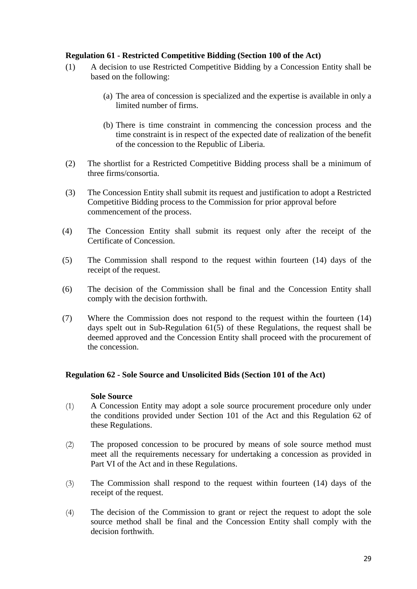#### <span id="page-29-0"></span>**Regulation 61 - Restricted Competitive Bidding (Section 100 of the Act)**

- (1) A decision to use Restricted Competitive Bidding by a Concession Entity shall be based on the following:
	- (a) The area of concession is specialized and the expertise is available in only a limited number of firms.
	- (b) There is time constraint in commencing the concession process and the time constraint is in respect of the expected date of realization of the benefit of the concession to the Republic of Liberia.
- (2) The shortlist for a Restricted Competitive Bidding process shall be a minimum of three firms/consortia.
- (3) The Concession Entity shall submit its request and justification to adopt a Restricted Competitive Bidding process to the Commission for prior approval before commencement of the process.
- (4) The Concession Entity shall submit its request only after the receipt of the Certificate of Concession.
- (5) The Commission shall respond to the request within fourteen (14) days of the receipt of the request.
- (6) The decision of the Commission shall be final and the Concession Entity shall comply with the decision forthwith.
- (7) Where the Commission does not respond to the request within the fourteen (14) days spelt out in Sub-Regulation 61(5) of these Regulations, the request shall be deemed approved and the Concession Entity shall proceed with the procurement of the concession.

#### <span id="page-29-1"></span>**Regulation 62 - Sole Source and Unsolicited Bids (Section 101 of the Act)**

#### **Sole Source**

- (1) A Concession Entity may adopt a sole source procurement procedure only under the conditions provided under Section 101 of the Act and this Regulation 62 of these Regulations.
- (2) The proposed concession to be procured by means of sole source method must meet all the requirements necessary for undertaking a concession as provided in Part VI of the Act and in these Regulations.
- (3) The Commission shall respond to the request within fourteen (14) days of the receipt of the request.
- (4) The decision of the Commission to grant or reject the request to adopt the sole source method shall be final and the Concession Entity shall comply with the decision forthwith.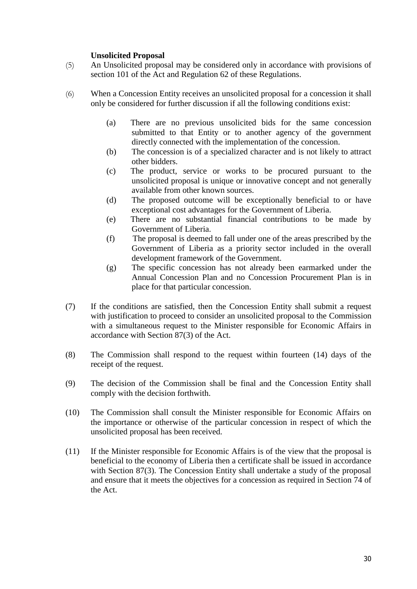#### **Unsolicited Proposal**

- (5) An Unsolicited proposal may be considered only in accordance with provisions of section 101 of the Act and Regulation 62 of these Regulations.
- (6) When a Concession Entity receives an unsolicited proposal for a concession it shall only be considered for further discussion if all the following conditions exist:
	- (a) There are no previous unsolicited bids for the same concession submitted to that Entity or to another agency of the government directly connected with the implementation of the concession.
	- (b) The concession is of a specialized character and is not likely to attract other bidders.
	- (c) The product, service or works to be procured pursuant to the unsolicited proposal is unique or innovative concept and not generally available from other known sources.
	- (d) The proposed outcome will be exceptionally beneficial to or have exceptional cost advantages for the Government of Liberia.
	- (e) There are no substantial financial contributions to be made by Government of Liberia.
	- (f) The proposal is deemed to fall under one of the areas prescribed by the Government of Liberia as a priority sector included in the overall development framework of the Government.
	- (g) The specific concession has not already been earmarked under the Annual Concession Plan and no Concession Procurement Plan is in place for that particular concession.
- (7) If the conditions are satisfied, then the Concession Entity shall submit a request with justification to proceed to consider an unsolicited proposal to the Commission with a simultaneous request to the Minister responsible for Economic Affairs in accordance with Section 87(3) of the Act.
- (8) The Commission shall respond to the request within fourteen (14) days of the receipt of the request.
- (9) The decision of the Commission shall be final and the Concession Entity shall comply with the decision forthwith.
- (10) The Commission shall consult the Minister responsible for Economic Affairs on the importance or otherwise of the particular concession in respect of which the unsolicited proposal has been received.
- (11) If the Minister responsible for Economic Affairs is of the view that the proposal is beneficial to the economy of Liberia then a certificate shall be issued in accordance with Section 87(3). The Concession Entity shall undertake a study of the proposal and ensure that it meets the objectives for a concession as required in Section 74 of the Act.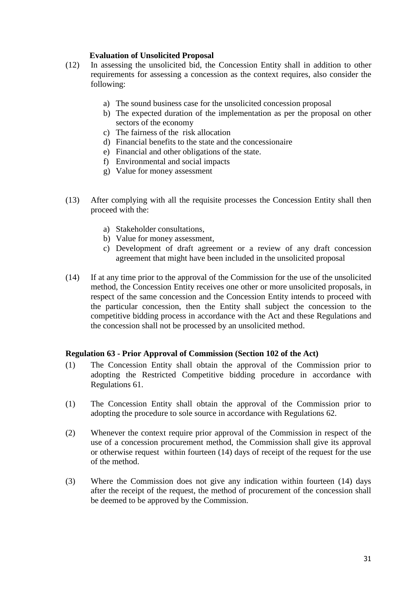#### **Evaluation of Unsolicited Proposal**

- (12) In assessing the unsolicited bid, the Concession Entity shall in addition to other requirements for assessing a concession as the context requires, also consider the following:
	- a) The sound business case for the unsolicited concession proposal
	- b) The expected duration of the implementation as per the proposal on other sectors of the economy
	- c) The fairness of the risk allocation
	- d) Financial benefits to the state and the concessionaire
	- e) Financial and other obligations of the state.
	- f) Environmental and social impacts
	- g) Value for money assessment
- (13) After complying with all the requisite processes the Concession Entity shall then proceed with the:
	- a) Stakeholder consultations,
	- b) Value for money assessment,
	- c) Development of draft agreement or a review of any draft concession agreement that might have been included in the unsolicited proposal
- (14) If at any time prior to the approval of the Commission for the use of the unsolicited method, the Concession Entity receives one other or more unsolicited proposals, in respect of the same concession and the Concession Entity intends to proceed with the particular concession, then the Entity shall subject the concession to the competitive bidding process in accordance with the Act and these Regulations and the concession shall not be processed by an unsolicited method.

#### <span id="page-31-0"></span>**Regulation 63 - Prior Approval of Commission (Section 102 of the Act)**

- (1) The Concession Entity shall obtain the approval of the Commission prior to adopting the Restricted Competitive bidding procedure in accordance with Regulations 61.
- (1) The Concession Entity shall obtain the approval of the Commission prior to adopting the procedure to sole source in accordance with Regulations 62.
- (2) Whenever the context require prior approval of the Commission in respect of the use of a concession procurement method, the Commission shall give its approval or otherwise request within fourteen (14) days of receipt of the request for the use of the method.
- (3) Where the Commission does not give any indication within fourteen (14) days after the receipt of the request, the method of procurement of the concession shall be deemed to be approved by the Commission.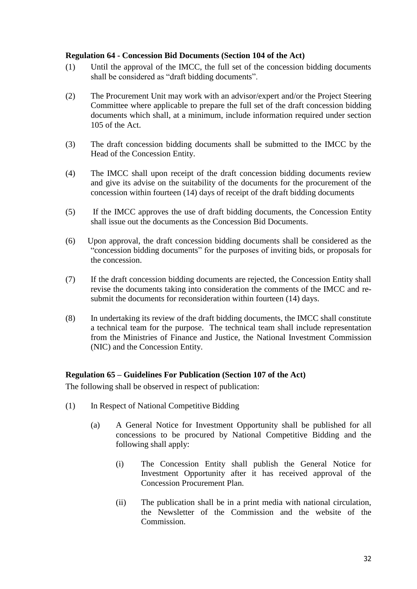#### <span id="page-32-0"></span>**Regulation 64 - Concession Bid Documents (Section 104 of the Act)**

- (1) Until the approval of the IMCC, the full set of the concession bidding documents shall be considered as "draft bidding documents".
- (2) The Procurement Unit may work with an advisor/expert and/or the Project Steering Committee where applicable to prepare the full set of the draft concession bidding documents which shall, at a minimum, include information required under section 105 of the Act.
- (3) The draft concession bidding documents shall be submitted to the IMCC by the Head of the Concession Entity.
- (4) The IMCC shall upon receipt of the draft concession bidding documents review and give its advise on the suitability of the documents for the procurement of the concession within fourteen (14) days of receipt of the draft bidding documents
- (5) If the IMCC approves the use of draft bidding documents, the Concession Entity shall issue out the documents as the Concession Bid Documents.
- (6) Upon approval, the draft concession bidding documents shall be considered as the "concession bidding documents" for the purposes of inviting bids, or proposals for the concession.
- (7) If the draft concession bidding documents are rejected, the Concession Entity shall revise the documents taking into consideration the comments of the IMCC and resubmit the documents for reconsideration within fourteen  $(14)$  days.
- (8) In undertaking its review of the draft bidding documents, the IMCC shall constitute a technical team for the purpose. The technical team shall include representation from the Ministries of Finance and Justice, the National Investment Commission (NIC) and the Concession Entity.

#### <span id="page-32-1"></span>**Regulation 65 – Guidelines For Publication (Section 107 of the Act)**

The following shall be observed in respect of publication:

- (1) In Respect of National Competitive Bidding
	- (a) A General Notice for Investment Opportunity shall be published for all concessions to be procured by National Competitive Bidding and the following shall apply:
		- (i) The Concession Entity shall publish the General Notice for Investment Opportunity after it has received approval of the Concession Procurement Plan.
		- (ii) The publication shall be in a print media with national circulation, the Newsletter of the Commission and the website of the Commission.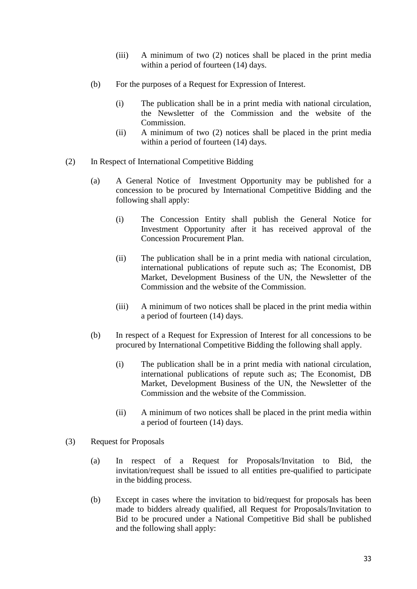- (iii) A minimum of two (2) notices shall be placed in the print media within a period of fourteen (14) days.
- (b) For the purposes of a Request for Expression of Interest.
	- (i) The publication shall be in a print media with national circulation, the Newsletter of the Commission and the website of the Commission.
	- (ii) A minimum of two (2) notices shall be placed in the print media within a period of fourteen (14) days.
- (2) In Respect of International Competitive Bidding
	- (a) A General Notice of Investment Opportunity may be published for a concession to be procured by International Competitive Bidding and the following shall apply:
		- (i) The Concession Entity shall publish the General Notice for Investment Opportunity after it has received approval of the Concession Procurement Plan.
		- (ii) The publication shall be in a print media with national circulation, international publications of repute such as; The Economist, DB Market, Development Business of the UN, the Newsletter of the Commission and the website of the Commission.
		- (iii) A minimum of two notices shall be placed in the print media within a period of fourteen (14) days.
	- (b) In respect of a Request for Expression of Interest for all concessions to be procured by International Competitive Bidding the following shall apply.
		- (i) The publication shall be in a print media with national circulation, international publications of repute such as; The Economist, DB Market, Development Business of the UN, the Newsletter of the Commission and the website of the Commission.
		- (ii) A minimum of two notices shall be placed in the print media within a period of fourteen (14) days.
- (3) Request for Proposals
	- (a) In respect of a Request for Proposals/Invitation to Bid, the invitation/request shall be issued to all entities pre-qualified to participate in the bidding process.
	- (b) Except in cases where the invitation to bid/request for proposals has been made to bidders already qualified, all Request for Proposals/Invitation to Bid to be procured under a National Competitive Bid shall be published and the following shall apply: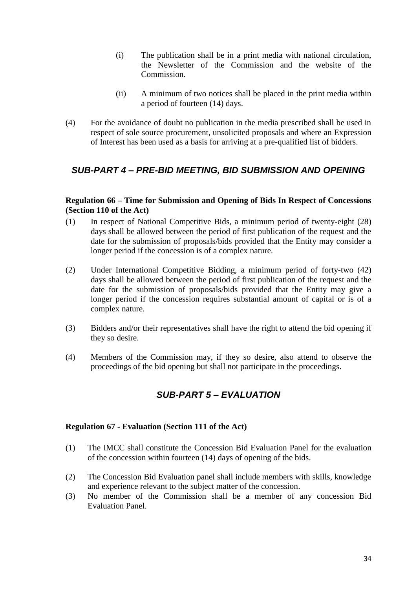- (i) The publication shall be in a print media with national circulation, the Newsletter of the Commission and the website of the Commission.
- (ii) A minimum of two notices shall be placed in the print media within a period of fourteen (14) days.
- (4) For the avoidance of doubt no publication in the media prescribed shall be used in respect of sole source procurement, unsolicited proposals and where an Expression of Interest has been used as a basis for arriving at a pre-qualified list of bidders.

## <span id="page-34-0"></span>*SUB-PART 4 – PRE-BID MEETING, BID SUBMISSION AND OPENING*

#### <span id="page-34-1"></span>**Regulation 66 – Time for Submission and Opening of Bids In Respect of Concessions (Section 110 of the Act)**

- (1) In respect of National Competitive Bids, a minimum period of twenty-eight (28) days shall be allowed between the period of first publication of the request and the date for the submission of proposals/bids provided that the Entity may consider a longer period if the concession is of a complex nature.
- (2) Under International Competitive Bidding, a minimum period of forty-two (42) days shall be allowed between the period of first publication of the request and the date for the submission of proposals/bids provided that the Entity may give a longer period if the concession requires substantial amount of capital or is of a complex nature.
- (3) Bidders and/or their representatives shall have the right to attend the bid opening if they so desire.
- <span id="page-34-2"></span>(4) Members of the Commission may, if they so desire, also attend to observe the proceedings of the bid opening but shall not participate in the proceedings.

## *SUB-PART 5 – EVALUATION*

#### <span id="page-34-3"></span>**Regulation 67 - Evaluation (Section 111 of the Act)**

- (1) The IMCC shall constitute the Concession Bid Evaluation Panel for the evaluation of the concession within fourteen (14) days of opening of the bids.
- (2) The Concession Bid Evaluation panel shall include members with skills, knowledge and experience relevant to the subject matter of the concession.
- (3) No member of the Commission shall be a member of any concession Bid Evaluation Panel.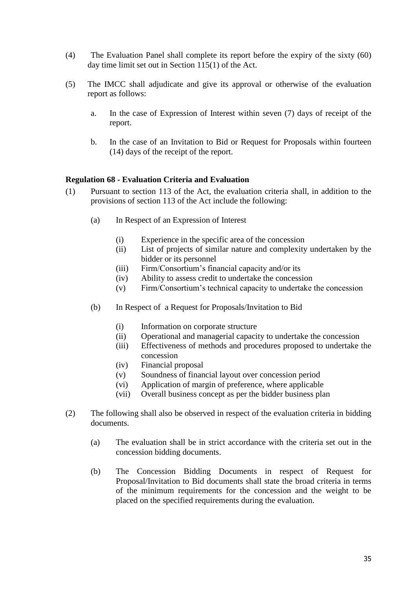- (4) The Evaluation Panel shall complete its report before the expiry of the sixty (60) day time limit set out in Section 115(1) of the Act.
- (5) The IMCC shall adjudicate and give its approval or otherwise of the evaluation report as follows:
	- a. In the case of Expression of Interest within seven (7) days of receipt of the report.
	- b. In the case of an Invitation to Bid or Request for Proposals within fourteen (14) days of the receipt of the report.

#### <span id="page-35-0"></span>**Regulation 68 - Evaluation Criteria and Evaluation**

- (1) Pursuant to section 113 of the Act, the evaluation criteria shall, in addition to the provisions of section 113 of the Act include the following:
	- (a) In Respect of an Expression of Interest
		- (i) Experience in the specific area of the concession
		- (ii) List of projects of similar nature and complexity undertaken by the bidder or its personnel
		- (iii) Firm/Consortium's financial capacity and/or its
		- (iv) Ability to assess credit to undertake the concession
		- (v) Firm/Consortium's technical capacity to undertake the concession
	- (b) In Respect of a Request for Proposals/Invitation to Bid
		- (i) Information on corporate structure
		- (ii) Operational and managerial capacity to undertake the concession
		- (iii) Effectiveness of methods and procedures proposed to undertake the concession
		- (iv) Financial proposal
		- (v) Soundness of financial layout over concession period
		- (vi) Application of margin of preference, where applicable
		- (vii) Overall business concept as per the bidder business plan
- (2) The following shall also be observed in respect of the evaluation criteria in bidding documents.
	- (a) The evaluation shall be in strict accordance with the criteria set out in the concession bidding documents.
	- (b) The Concession Bidding Documents in respect of Request for Proposal/Invitation to Bid documents shall state the broad criteria in terms of the minimum requirements for the concession and the weight to be placed on the specified requirements during the evaluation.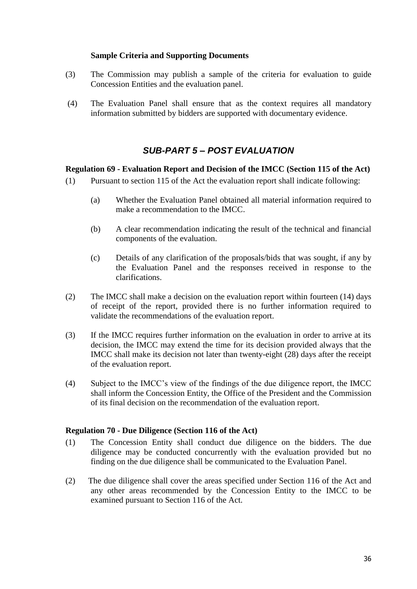#### **Sample Criteria and Supporting Documents**

- (3) The Commission may publish a sample of the criteria for evaluation to guide Concession Entities and the evaluation panel.
- (4) The Evaluation Panel shall ensure that as the context requires all mandatory information submitted by bidders are supported with documentary evidence.

## *SUB-PART 5 – POST EVALUATION*

#### <span id="page-36-1"></span><span id="page-36-0"></span>**Regulation 69 - Evaluation Report and Decision of the IMCC (Section 115 of the Act)**

- (1) Pursuant to section 115 of the Act the evaluation report shall indicate following:
	- (a) Whether the Evaluation Panel obtained all material information required to make a recommendation to the IMCC.
	- (b) A clear recommendation indicating the result of the technical and financial components of the evaluation.
	- (c) Details of any clarification of the proposals/bids that was sought, if any by the Evaluation Panel and the responses received in response to the clarifications.
- (2) The IMCC shall make a decision on the evaluation report within fourteen (14) days of receipt of the report, provided there is no further information required to validate the recommendations of the evaluation report.
- (3) If the IMCC requires further information on the evaluation in order to arrive at its decision, the IMCC may extend the time for its decision provided always that the IMCC shall make its decision not later than twenty-eight (28) days after the receipt of the evaluation report.
- (4) Subject to the IMCC's view of the findings of the due diligence report, the IMCC shall inform the Concession Entity, the Office of the President and the Commission of its final decision on the recommendation of the evaluation report.

#### <span id="page-36-2"></span>**Regulation 70 - Due Diligence (Section 116 of the Act)**

- (1) The Concession Entity shall conduct due diligence on the bidders. The due diligence may be conducted concurrently with the evaluation provided but no finding on the due diligence shall be communicated to the Evaluation Panel.
- (2) The due diligence shall cover the areas specified under Section 116 of the Act and any other areas recommended by the Concession Entity to the IMCC to be examined pursuant to Section 116 of the Act.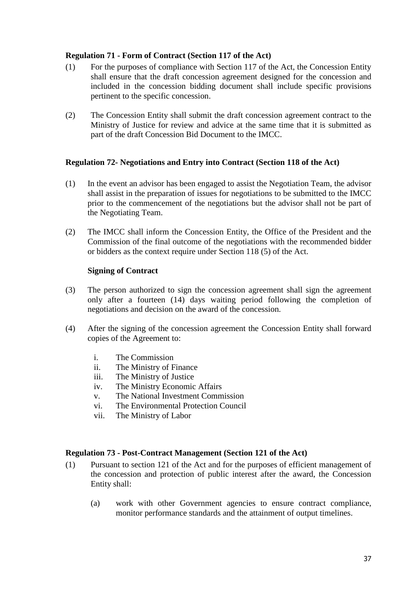#### <span id="page-37-0"></span>**Regulation 71 - Form of Contract (Section 117 of the Act)**

- (1) For the purposes of compliance with Section 117 of the Act, the Concession Entity shall ensure that the draft concession agreement designed for the concession and included in the concession bidding document shall include specific provisions pertinent to the specific concession.
- (2) The Concession Entity shall submit the draft concession agreement contract to the Ministry of Justice for review and advice at the same time that it is submitted as part of the draft Concession Bid Document to the IMCC.

#### <span id="page-37-1"></span>**Regulation 72- Negotiations and Entry into Contract (Section 118 of the Act)**

- (1) In the event an advisor has been engaged to assist the Negotiation Team, the advisor shall assist in the preparation of issues for negotiations to be submitted to the IMCC prior to the commencement of the negotiations but the advisor shall not be part of the Negotiating Team.
- (2) The IMCC shall inform the Concession Entity, the Office of the President and the Commission of the final outcome of the negotiations with the recommended bidder or bidders as the context require under Section 118 (5) of the Act.

#### **Signing of Contract**

- (3) The person authorized to sign the concession agreement shall sign the agreement only after a fourteen (14) days waiting period following the completion of negotiations and decision on the award of the concession.
- (4) After the signing of the concession agreement the Concession Entity shall forward copies of the Agreement to:
	- i. The Commission
	- ii. The Ministry of Finance
	- iii. The Ministry of Justice
	- iv. The Ministry Economic Affairs
	- v. The National Investment Commission
	- vi. The Environmental Protection Council
	- vii. The Ministry of Labor

#### <span id="page-37-2"></span>**Regulation 73 - Post-Contract Management (Section 121 of the Act)**

- (1) Pursuant to section 121 of the Act and for the purposes of efficient management of the concession and protection of public interest after the award, the Concession Entity shall:
	- (a) work with other Government agencies to ensure contract compliance, monitor performance standards and the attainment of output timelines.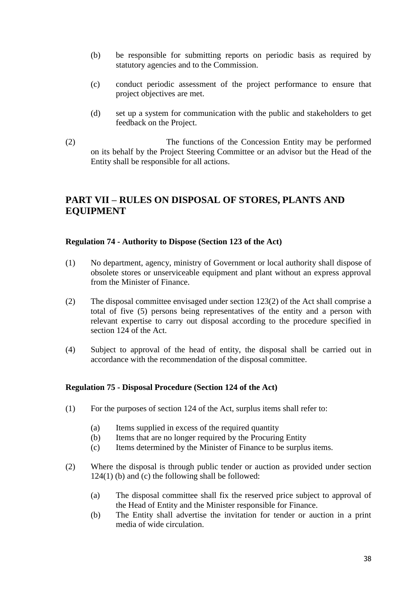- (b) be responsible for submitting reports on periodic basis as required by statutory agencies and to the Commission.
- (c) conduct periodic assessment of the project performance to ensure that project objectives are met.
- (d) set up a system for communication with the public and stakeholders to get feedback on the Project.
- (2) The functions of the Concession Entity may be performed on its behalf by the Project Steering Committee or an advisor but the Head of the Entity shall be responsible for all actions.

## <span id="page-38-0"></span>**PART VII – RULES ON DISPOSAL OF STORES, PLANTS AND EQUIPMENT**

#### <span id="page-38-1"></span>**Regulation 74 - Authority to Dispose (Section 123 of the Act)**

- (1) No department, agency, ministry of Government or local authority shall dispose of obsolete stores or unserviceable equipment and plant without an express approval from the Minister of Finance.
- (2) The disposal committee envisaged under section 123(2) of the Act shall comprise a total of five (5) persons being representatives of the entity and a person with relevant expertise to carry out disposal according to the procedure specified in section 124 of the Act.
- (4) Subject to approval of the head of entity, the disposal shall be carried out in accordance with the recommendation of the disposal committee.

#### <span id="page-38-2"></span>**Regulation 75 - Disposal Procedure (Section 124 of the Act)**

- (1) For the purposes of section 124 of the Act, surplus items shall refer to:
	- (a) Items supplied in excess of the required quantity
	- (b) Items that are no longer required by the Procuring Entity
	- (c) Items determined by the Minister of Finance to be surplus items.
- (2) Where the disposal is through public tender or auction as provided under section 124(1) (b) and (c) the following shall be followed:
	- (a) The disposal committee shall fix the reserved price subject to approval of the Head of Entity and the Minister responsible for Finance.
	- (b) The Entity shall advertise the invitation for tender or auction in a print media of wide circulation.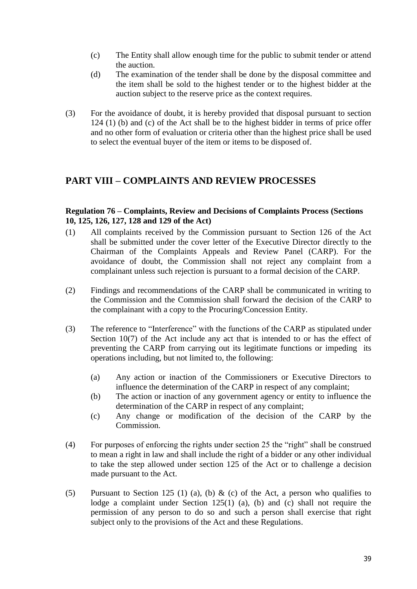- (c) The Entity shall allow enough time for the public to submit tender or attend the auction.
- (d) The examination of the tender shall be done by the disposal committee and the item shall be sold to the highest tender or to the highest bidder at the auction subject to the reserve price as the context requires.
- (3) For the avoidance of doubt, it is hereby provided that disposal pursuant to section 124 (1) (b) and (c) of the Act shall be to the highest bidder in terms of price offer and no other form of evaluation or criteria other than the highest price shall be used to select the eventual buyer of the item or items to be disposed of.

## <span id="page-39-0"></span>**PART VIII – COMPLAINTS AND REVIEW PROCESSES**

#### <span id="page-39-1"></span>**Regulation 76 – Complaints, Review and Decisions of Complaints Process (Sections 10, 125, 126, 127, 128 and 129 of the Act)**

- (1) All complaints received by the Commission pursuant to Section 126 of the Act shall be submitted under the cover letter of the Executive Director directly to the Chairman of the Complaints Appeals and Review Panel (CARP). For the avoidance of doubt, the Commission shall not reject any complaint from a complainant unless such rejection is pursuant to a formal decision of the CARP.
- (2) Findings and recommendations of the CARP shall be communicated in writing to the Commission and the Commission shall forward the decision of the CARP to the complainant with a copy to the Procuring/Concession Entity.
- (3) The reference to "Interference" with the functions of the CARP as stipulated under Section 10(7) of the Act include any act that is intended to or has the effect of preventing the CARP from carrying out its legitimate functions or impeding its operations including, but not limited to, the following:
	- (a) Any action or inaction of the Commissioners or Executive Directors to influence the determination of the CARP in respect of any complaint;
	- (b) The action or inaction of any government agency or entity to influence the determination of the CARP in respect of any complaint;
	- (c) Any change or modification of the decision of the CARP by the Commission.
- (4) For purposes of enforcing the rights under section 25 the "right" shall be construed to mean a right in law and shall include the right of a bidder or any other individual to take the step allowed under section 125 of the Act or to challenge a decision made pursuant to the Act.
- (5) Pursuant to Section 125 (1) (a), (b) & (c) of the Act, a person who qualifies to lodge a complaint under Section 125(1) (a), (b) and (c) shall not require the permission of any person to do so and such a person shall exercise that right subject only to the provisions of the Act and these Regulations.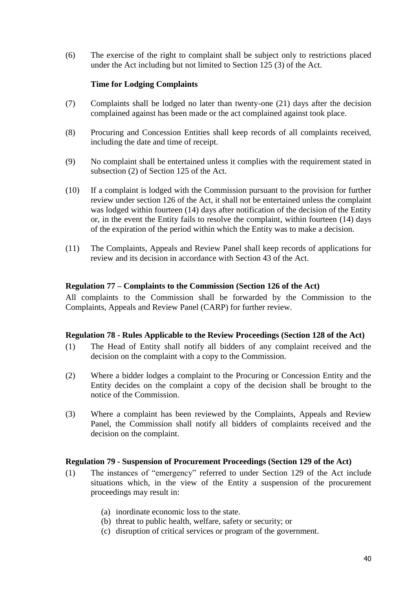(6) The exercise of the right to complaint shall be subject only to restrictions placed under the Act including but not limited to Section 125 (3) of the Act.

#### **Time for Lodging Complaints**

- (7) Complaints shall be lodged no later than twenty-one (21) days after the decision complained against has been made or the act complained against took place.
- (8) Procuring and Concession Entities shall keep records of all complaints received, including the date and time of receipt.
- (9) No complaint shall be entertained unless it complies with the requirement stated in subsection (2) of Section 125 of the Act.
- (10) If a complaint is lodged with the Commission pursuant to the provision for further review under section 126 of the Act, it shall not be entertained unless the complaint was lodged within fourteen (14) days after notification of the decision of the Entity or, in the event the Entity fails to resolve the complaint, within fourteen (14) days of the expiration of the period within which the Entity was to make a decision.
- (11) The Complaints, Appeals and Review Panel shall keep records of applications for review and its decision in accordance with Section 43 of the Act.

#### <span id="page-40-0"></span>**Regulation 77 – Complaints to the Commission (Section 126 of the Act)**

All complaints to the Commission shall be forwarded by the Commission to the Complaints, Appeals and Review Panel (CARP) for further review.

#### <span id="page-40-1"></span>**Regulation 78 - Rules Applicable to the Review Proceedings (Section 128 of the Act)**

- (1) The Head of Entity shall notify all bidders of any complaint received and the decision on the complaint with a copy to the Commission.
- (2) Where a bidder lodges a complaint to the Procuring or Concession Entity and the Entity decides on the complaint a copy of the decision shall be brought to the notice of the Commission.
- (3) Where a complaint has been reviewed by the Complaints, Appeals and Review Panel, the Commission shall notify all bidders of complaints received and the decision on the complaint.

#### <span id="page-40-2"></span>**Regulation 79 - Suspension of Procurement Proceedings (Section 129 of the Act)**

- (1) The instances of "emergency" referred to under Section 129 of the Act include situations which, in the view of the Entity a suspension of the procurement proceedings may result in:
	- (a) inordinate economic loss to the state.
	- (b) threat to public health, welfare, safety or security; or
	- (c) disruption of critical services or program of the government.